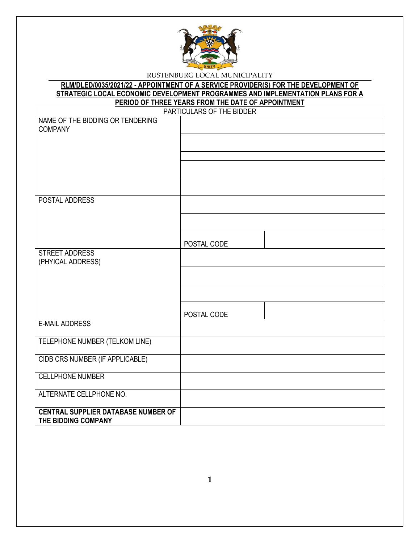

**RLM/DLED/0035/2021/22 - APPOINTMENT OF A SERVICE PROVIDER(S) FOR THE DEVELOPMENT OF STRATEGIC LOCAL ECONOMIC DEVELOPMENT PROGRAMMES AND IMPLEMENTATION PLANS FOR A PERIOD OF THREE YEARS FROM THE DATE OF APPOINTMENT**

|                                                                   | PARTICULARS OF THE BIDDER |
|-------------------------------------------------------------------|---------------------------|
| NAME OF THE BIDDING OR TENDERING<br><b>COMPANY</b>                |                           |
|                                                                   |                           |
|                                                                   |                           |
|                                                                   |                           |
|                                                                   |                           |
| POSTAL ADDRESS                                                    |                           |
|                                                                   |                           |
|                                                                   | POSTAL CODE               |
| <b>STREET ADDRESS</b><br>(PHYICAL ADDRESS)                        |                           |
|                                                                   |                           |
|                                                                   |                           |
|                                                                   | POSTAL CODE               |
| <b>E-MAIL ADDRESS</b>                                             |                           |
| TELEPHONE NUMBER (TELKOM LINE)                                    |                           |
| CIDB CRS NUMBER (IF APPLICABLE)                                   |                           |
| <b>CELLPHONE NUMBER</b>                                           |                           |
| ALTERNATE CELLPHONE NO.                                           |                           |
| <b>CENTRAL SUPPLIER DATABASE NUMBER OF</b><br>THE BIDDING COMPANY |                           |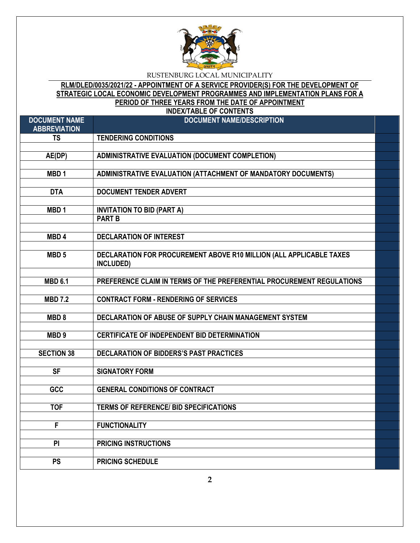

# **RLM/DLED/0035/2021/22 - APPOINTMENT OF A SERVICE PROVIDER(S) FOR THE DEVELOPMENT OF STRATEGIC LOCAL ECONOMIC DEVELOPMENT PROGRAMMES AND IMPLEMENTATION PLANS FOR A PERIOD OF THREE YEARS FROM THE DATE OF APPOINTMENT**

**INDEX/TABLE OF CONTENTS**

| <b>DOCUMENT NAME</b><br><b>ABBREVIATION</b> | <b>DOCUMENT NAME/DESCRIPTION</b>                                      |  |
|---------------------------------------------|-----------------------------------------------------------------------|--|
| <b>TS</b>                                   | <b>TENDERING CONDITIONS</b>                                           |  |
|                                             |                                                                       |  |
| AE(DP)                                      | ADMINISTRATIVE EVALUATION (DOCUMENT COMPLETION)                       |  |
|                                             |                                                                       |  |
| MBD <sub>1</sub>                            | ADMINISTRATIVE EVALUATION (ATTACHMENT OF MANDATORY DOCUMENTS)         |  |
|                                             |                                                                       |  |
| <b>DTA</b>                                  | <b>DOCUMENT TENDER ADVERT</b>                                         |  |
|                                             |                                                                       |  |
| MBD <sub>1</sub>                            | <b>INVITATION TO BID (PART A)</b>                                     |  |
|                                             | <b>PART B</b>                                                         |  |
|                                             |                                                                       |  |
| MBD <sub>4</sub>                            | <b>DECLARATION OF INTEREST</b>                                        |  |
| MBD <sub>5</sub>                            | DECLARATION FOR PROCUREMENT ABOVE R10 MILLION (ALL APPLICABLE TAXES   |  |
|                                             | INCLUDED)                                                             |  |
|                                             |                                                                       |  |
| <b>MBD 6.1</b>                              | PREFERENCE CLAIM IN TERMS OF THE PREFERENTIAL PROCUREMENT REGULATIONS |  |
|                                             |                                                                       |  |
| <b>MBD 7.2</b>                              | <b>CONTRACT FORM - RENDERING OF SERVICES</b>                          |  |
|                                             |                                                                       |  |
| MBD <sub>8</sub>                            | DECLARATION OF ABUSE OF SUPPLY CHAIN MANAGEMENT SYSTEM                |  |
|                                             |                                                                       |  |
| MBD <sub>9</sub>                            | <b>CERTIFICATE OF INDEPENDENT BID DETERMINATION</b>                   |  |
|                                             |                                                                       |  |
| <b>SECTION 38</b>                           | DECLARATION OF BIDDERS'S PAST PRACTICES                               |  |
| <b>SF</b>                                   | <b>SIGNATORY FORM</b>                                                 |  |
|                                             |                                                                       |  |
| GCC                                         | <b>GENERAL CONDITIONS OF CONTRACT</b>                                 |  |
|                                             |                                                                       |  |
| <b>TOF</b>                                  | <b>TERMS OF REFERENCE/ BID SPECIFICATIONS</b>                         |  |
|                                             |                                                                       |  |
| $\overline{F}$                              | <b>FUNCTIONALITY</b>                                                  |  |
|                                             |                                                                       |  |
| <b>PI</b>                                   | <b>PRICING INSTRUCTIONS</b>                                           |  |
|                                             |                                                                       |  |
| <b>PS</b>                                   | <b>PRICING SCHEDULE</b>                                               |  |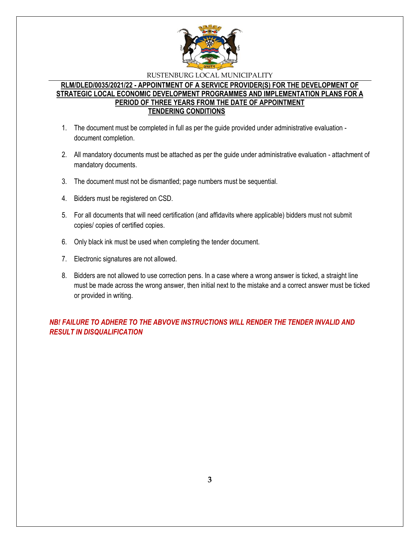

# **RLM/DLED/0035/2021/22 - APPOINTMENT OF A SERVICE PROVIDER(S) FOR THE DEVELOPMENT OF STRATEGIC LOCAL ECONOMIC DEVELOPMENT PROGRAMMES AND IMPLEMENTATION PLANS FOR A PERIOD OF THREE YEARS FROM THE DATE OF APPOINTMENT TENDERING CONDITIONS**

- 1. The document must be completed in full as per the guide provided under administrative evaluation document completion.
- 2. All mandatory documents must be attached as per the guide under administrative evaluation attachment of mandatory documents.
- 3. The document must not be dismantled; page numbers must be sequential.
- 4. Bidders must be registered on CSD.
- 5. For all documents that will need certification (and affidavits where applicable) bidders must not submit copies/ copies of certified copies.
- 6. Only black ink must be used when completing the tender document.
- 7. Electronic signatures are not allowed.
- 8. Bidders are not allowed to use correction pens. In a case where a wrong answer is ticked, a straight line must be made across the wrong answer, then initial next to the mistake and a correct answer must be ticked or provided in writing.

*NB! FAILURE TO ADHERE TO THE ABVOVE INSTRUCTIONS WILL RENDER THE TENDER INVALID AND RESULT IN DISQUALIFICATION*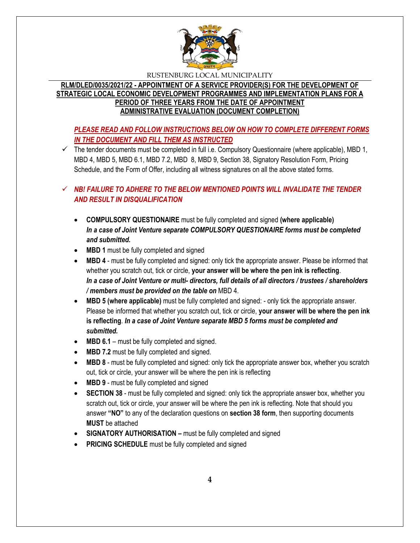

# **RLM/DLED/0035/2021/22 - APPOINTMENT OF A SERVICE PROVIDER(S) FOR THE DEVELOPMENT OF STRATEGIC LOCAL ECONOMIC DEVELOPMENT PROGRAMMES AND IMPLEMENTATION PLANS FOR A PERIOD OF THREE YEARS FROM THE DATE OF APPOINTMENT ADMINISTRATIVE EVALUATION (DOCUMENT COMPLETION)**

# *PLEASE READ AND FOLLOW INSTRUCTIONS BELOW ON HOW TO COMPLETE DIFFERENT FORMS IN THE DOCUMENT AND FILL THEM AS INSTRUCTED*

 $\checkmark$  The tender documents must be completed in full i.e. Compulsory Questionnaire (where applicable), MBD 1, MBD 4, MBD 5, MBD 6.1, MBD 7.2, MBD 8, MBD 9, Section 38, Signatory Resolution Form, Pricing Schedule, and the Form of Offer, including all witness signatures on all the above stated forms.

# *NB! FAILURE TO ADHERE TO THE BELOW MENTIONED POINTS WILL INVALIDATE THE TENDER AND RESULT IN DISQUALIFICATION*

- **COMPULSORY QUESTIONAIRE** must be fully completed and signed **(where applicable)** *In a case of Joint Venture separate COMPULSORY QUESTIONAIRE forms must be completed and submitted.*
- MBD 1 must be fully completed and signed
- **MBD 4** must be fully completed and signed: only tick the appropriate answer. Please be informed that whether you scratch out, tick or circle, **your answer will be where the pen ink is reflecting**. *In a case of Joint Venture or multi- directors, full details of all directors / trustees / shareholders / members must be provided on the table on* MBD 4.
- **MBD 5 (where applicable)** must be fully completed and signed: only tick the appropriate answer. Please be informed that whether you scratch out, tick or circle, **your answer will be where the pen ink is reflecting**. *In a case of Joint Venture separate MBD 5 forms must be completed and submitted.*
- MBD 6.1 must be fully completed and signed.
- **MBD 7.2** must be fully completed and signed.
- **MBD 8** must be fully completed and signed: only tick the appropriate answer box, whether you scratch out, tick or circle, your answer will be where the pen ink is reflecting
- MBD 9 must be fully completed and signed
- **SECTION 38** must be fully completed and signed: only tick the appropriate answer box, whether you scratch out, tick or circle, your answer will be where the pen ink is reflecting. Note that should you answer **"NO"** to any of the declaration questions on **section 38 form**, then supporting documents **MUST** be attached
- **SIGNATORY AUTHORISATION –** must be fully completed and signed
- **PRICING SCHEDULE** must be fully completed and signed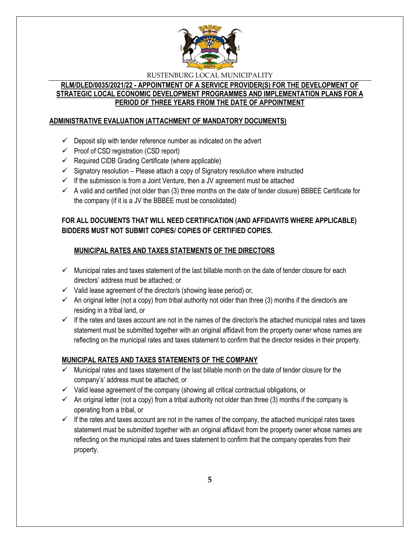

# **RLM/DLED/0035/2021/22 - APPOINTMENT OF A SERVICE PROVIDER(S) FOR THE DEVELOPMENT OF STRATEGIC LOCAL ECONOMIC DEVELOPMENT PROGRAMMES AND IMPLEMENTATION PLANS FOR A PERIOD OF THREE YEARS FROM THE DATE OF APPOINTMENT**

# **ADMINISTRATIVE EVALUATION (ATTACHMENT OF MANDATORY DOCUMENTS)**

- $\checkmark$  Deposit slip with tender reference number as indicated on the advert
- $\checkmark$  Proof of CSD registration (CSD report)
- $\checkmark$  Required CIDB Grading Certificate (where applicable)
- $\checkmark$  Signatory resolution Please attach a copy of Signatory resolution where instructed
- $\checkmark$  If the submission is from a Joint Venture, then a JV agreement must be attached
- $\checkmark$  A valid and certified (not older than (3) three months on the date of tender closure) BBBEE Certificate for the company (if it is a JV the BBBEE must be consolidated)

# **FOR ALL DOCUMENTS THAT WILL NEED CERTIFICATION (AND AFFIDAVITS WHERE APPLICABLE) BIDDERS MUST NOT SUBMIT COPIES/ COPIES OF CERTIFIED COPIES.**

# **MUNICIPAL RATES AND TAXES STATEMENTS OF THE DIRECTORS**

- $\checkmark$  Municipal rates and taxes statement of the last billable month on the date of tender closure for each directors' address must be attached; or
- $\checkmark$  Valid lease agreement of the director/s (showing lease period) or,
- $\checkmark$  An original letter (not a copy) from tribal authority not older than three (3) months if the director/s are residing in a tribal land, or
- $\checkmark$  If the rates and taxes account are not in the names of the director/s the attached municipal rates and taxes statement must be submitted together with an original affidavit from the property owner whose names are reflecting on the municipal rates and taxes statement to confirm that the director resides in their property.

# **MUNICIPAL RATES AND TAXES STATEMENTS OF THE COMPANY**

- $\checkmark$  Municipal rates and taxes statement of the last billable month on the date of tender closure for the company's' address must be attached; or
- $\checkmark$  Valid lease agreement of the company (showing all critical contractual obligations, or
- $\checkmark$  An original letter (not a copy) from a tribal authority not older than three (3) months if the company is operating from a tribal, or
- $\checkmark$  If the rates and taxes account are not in the names of the company, the attached municipal rates taxes statement must be submitted together with an original affidavit from the property owner whose names are reflecting on the municipal rates and taxes statement to confirm that the company operates from their property.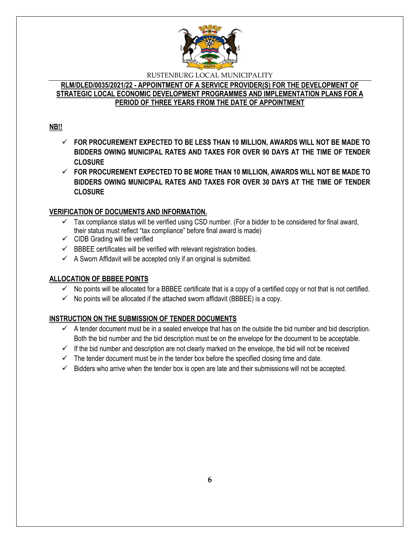

# **RLM/DLED/0035/2021/22 - APPOINTMENT OF A SERVICE PROVIDER(S) FOR THE DEVELOPMENT OF STRATEGIC LOCAL ECONOMIC DEVELOPMENT PROGRAMMES AND IMPLEMENTATION PLANS FOR A PERIOD OF THREE YEARS FROM THE DATE OF APPOINTMENT**

# **NB!!**

- **FOR PROCUREMENT EXPECTED TO BE LESS THAN 10 MILLION, AWARDS WILL NOT BE MADE TO BIDDERS OWING MUNICIPAL RATES AND TAXES FOR OVER 90 DAYS AT THE TIME OF TENDER CLOSURE**
- **FOR PROCUREMENT EXPECTED TO BE MORE THAN 10 MILLION, AWARDS WILL NOT BE MADE TO BIDDERS OWING MUNICIPAL RATES AND TAXES FOR OVER 30 DAYS AT THE TIME OF TENDER CLOSURE**

# **VERIFICATION OF DOCUMENTS AND INFORMATION.**

- $\checkmark$  Tax compliance status will be verified using CSD number. (For a bidder to be considered for final award, their status must reflect "tax compliance" before final award is made)
- $\checkmark$  CIDB Grading will be verified
- $\checkmark$  BBBEE certificates will be verified with relevant registration bodies.
- $\checkmark$  A Sworn Affidavit will be accepted only if an original is submitted.

# **ALLOCATION OF BBBEE POINTS**

- $\checkmark$  No points will be allocated for a BBBEE certificate that is a copy of a certified copy or not that is not certified.
- $\checkmark$  No points will be allocated if the attached sworn affidavit (BBBEE) is a copy.

# **INSTRUCTION ON THE SUBMISSION OF TENDER DOCUMENTS**

- $\checkmark$  A tender document must be in a sealed envelope that has on the outside the bid number and bid description. Both the bid number and the bid description must be on the envelope for the document to be acceptable.
- $\checkmark$  If the bid number and description are not clearly marked on the envelope, the bid will not be received
- $\checkmark$  The tender document must be in the tender box before the specified closing time and date.
- $\checkmark$  Bidders who arrive when the tender box is open are late and their submissions will not be accepted.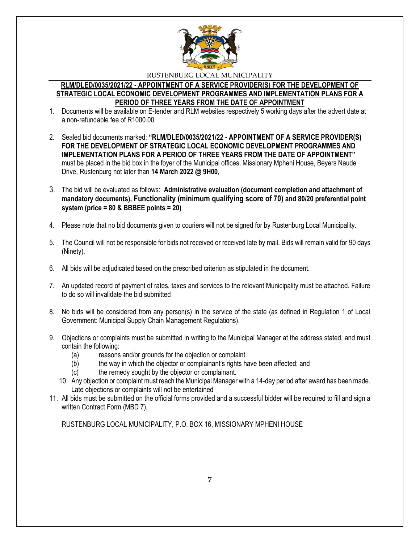

#### **RLM/DLED/0035/2021/22 - APPOINTMENT OF A SERVICE PROVIDER(S) FOR THE DEVELOPMENT OF STRATEGIC LOCAL ECONOMIC DEVELOPMENT PROGRAMMES AND IMPLEMENTATION PLANS FOR A PERIOD OF THREE YEARS FROM THE DATE OF APPOINTMENT**

- 1. Documents will be available on E-tender and RLM websites respectively 5 working days after the advert date at a non-refundable fee of R1000.00
- 2. Sealed bid documents marked: **"RLM/DLED/0035/2021/22 - APPOINTMENT OF A SERVICE PROVIDER(S) FOR THE DEVELOPMENT OF STRATEGIC LOCAL ECONOMIC DEVELOPMENT PROGRAMMES AND IMPLEMENTATION PLANS FOR A PERIOD OF THREE YEARS FROM THE DATE OF APPOINTMENT"**  must be placed in the bid box in the foyer of the Municipal offices, Missionary Mpheni House, Beyers Naude Drive, Rustenburg not later than **14 March 2022 @ 9H00**,
- 3. The bid will be evaluated as follows: **Administrative evaluation (document completion and attachment of mandatory documents), Functionality (minimum qualifying score of 70) and 80/20 preferential point system (price = 80 & BBBEE points = 20)**
- 4. Please note that no bid documents given to couriers will not be signed for by Rustenburg Local Municipality.
- 5. The Council will not be responsible for bids not received or received late by mail. Bids will remain valid for 90 days (Ninety).
- 6. All bids will be adjudicated based on the prescribed criterion as stipulated in the document.
- 7. An updated record of payment of rates, taxes and services to the relevant Municipality must be attached. Failure to do so will invalidate the bid submitted
- 8. No bids will be considered from any person(s) in the service of the state (as defined in Regulation 1 of Local Government: Municipal Supply Chain Management Regulations).
- 9. Objections or complaints must be submitted in writing to the Municipal Manager at the address stated, and must contain the following:
	- (a) reasons and/or grounds for the objection or complaint.
	- (b) the way in which the objector or complainant's rights have been affected; and
	- (c) the remedy sought by the objector or complainant.
	- 10. Any objection or complaint must reach the Municipal Manager with a 14-day period after award has been made. Late objections or complaints will not be entertained
- 11. All bids must be submitted on the official forms provided and a successful bidder will be required to fill and sign a written Contract Form (MBD 7).

RUSTENBURG LOCAL MUNICIPALITY, P.O. BOX 16, MISSIONARY MPHENI HOUSE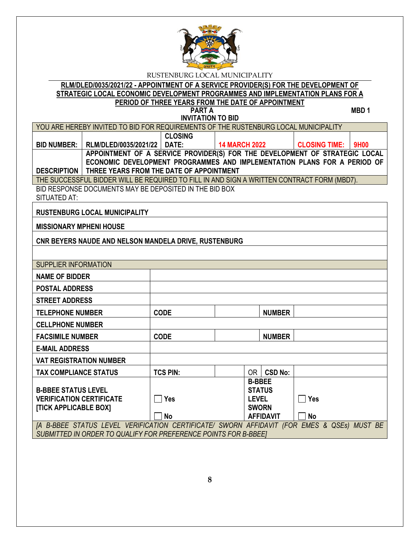

**RLM/DLED/0035/2021/22 - APPOINTMENT OF A SERVICE PROVIDER(S) FOR THE DEVELOPMENT OF STRATEGIC LOCAL ECONOMIC DEVELOPMENT PROGRAMMES AND IMPLEMENTATION PLANS FOR A PERIOD OF THREE YEARS FROM THE DATE OF APPOINTMENT**

**PART A** MBD 1 **INVITATION TO BID**

| YOU ARE HEREBY INVITED TO BID FOR REQUIREMENTS OF THE RUSTENBURG LOCAL MUNICIPALITY        |                                                               |                |                                                                          |                           |  |
|--------------------------------------------------------------------------------------------|---------------------------------------------------------------|----------------|--------------------------------------------------------------------------|---------------------------|--|
|                                                                                            |                                                               | <b>CLOSING</b> |                                                                          |                           |  |
| BID NUMBER: 1                                                                              | RLM/DLED/0035/2021/22   DATE:                                 |                | <b>14 MARCH 2022</b>                                                     | <b>CLOSING TIME: 9H00</b> |  |
| APPOINTMENT OF A SERVICE PROVIDER(S) FOR THE DEVELOPMENT OF STRATEGIC LOCAL                |                                                               |                |                                                                          |                           |  |
|                                                                                            |                                                               |                | ECONOMIC DEVELOPMENT PROGRAMMES AND IMPLEMENTATION PLANS FOR A PERIOD OF |                           |  |
|                                                                                            | <b>DESCRIPTION   THREE YEARS FROM THE DATE OF APPOINTMENT</b> |                |                                                                          |                           |  |
| THE SUCCESSFUL BIDDER WILL BE REQUIRED TO FILL IN AND SIGN A WRITTEN CONTRACT FORM (MBD7). |                                                               |                |                                                                          |                           |  |

BID RESPONSE DOCUMENTS MAY BE DEPOSITED IN THE BID BOX SITUATED AT:

**RUSTENBURG LOCAL MUNICIPALITY**

**MISSIONARY MPHENI HOUSE**

**CNR BEYERS NAUDE AND NELSON MANDELA DRIVE, RUSTENBURG**

| <b>SUPPLIER INFORMATION</b>                                      |                 |  |               |                  |                           |  |  |
|------------------------------------------------------------------|-----------------|--|---------------|------------------|---------------------------|--|--|
| <b>NAME OF BIDDER</b>                                            |                 |  |               |                  |                           |  |  |
| <b>POSTAL ADDRESS</b>                                            |                 |  |               |                  |                           |  |  |
| <b>STREET ADDRESS</b>                                            |                 |  |               |                  |                           |  |  |
| <b>TELEPHONE NUMBER</b>                                          | <b>CODE</b>     |  |               | <b>NUMBER</b>    |                           |  |  |
| <b>CELLPHONE NUMBER</b>                                          |                 |  |               |                  |                           |  |  |
| <b>FACSIMILE NUMBER</b>                                          | <b>CODE</b>     |  |               | <b>NUMBER</b>    |                           |  |  |
| <b>E-MAIL ADDRESS</b>                                            |                 |  |               |                  |                           |  |  |
| <b>VAT REGISTRATION NUMBER</b>                                   |                 |  |               |                  |                           |  |  |
| <b>TAX COMPLIANCE STATUS</b>                                     | <b>TCS PIN:</b> |  | OR            | <b>CSD No:</b>   |                           |  |  |
|                                                                  |                 |  | <b>B-BBEE</b> |                  |                           |  |  |
| <b>B-BBEE STATUS LEVEL</b>                                       |                 |  |               | <b>STATUS</b>    |                           |  |  |
| <b>VERIFICATION CERTIFICATE</b>                                  | <b>Yes</b>      |  | <b>LEVEL</b>  |                  | $\Box$ Yes                |  |  |
| [TICK APPLICABLE BOX]                                            |                 |  | <b>SWORN</b>  |                  |                           |  |  |
|                                                                  | <b>No</b>       |  |               | <b>AFFIDAVIT</b> | <b>No</b>                 |  |  |
| [A B-BBEE STATUS LEVEL VERIFICATION CERTIFICATE/ SWORN AFFIDAVIT |                 |  |               |                  | (FOR EMES & QSEs) MUST BE |  |  |
| SUBMITTED IN ORDER TO QUALIFY FOR PREFERENCE POINTS FOR B-BBEET  |                 |  |               |                  |                           |  |  |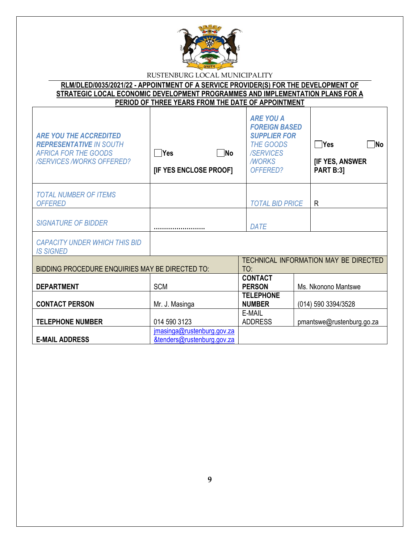

**RLM/DLED/0035/2021/22 - APPOINTMENT OF A SERVICE PROVIDER(S) FOR THE DEVELOPMENT OF STRATEGIC LOCAL ECONOMIC DEVELOPMENT PROGRAMMES AND IMPLEMENTATION PLANS FOR A PERIOD OF THREE YEARS FROM THE DATE OF APPOINTMENT**

| <b>ARE YOU THE ACCREDITED</b><br><b>REPRESENTATIVE IN SOUTH</b><br><b>AFRICA FOR THE GOODS</b><br><b>/SERVICES /WORKS OFFERED?</b> | $\square$ No<br>$\Box$ Yes<br>[IF YES ENCLOSE PROOF]     | <b>ARE YOU A</b><br><b>FOREIGN BASED</b><br><b>SUPPLIER FOR</b><br><b>THE GOODS</b><br>/SERVICES<br><b>MORKS</b><br>OFFERED? | $\bigcap$ Yes<br>∏No<br><b>[IF YES, ANSWER</b><br><b>PART B:3]</b> |
|------------------------------------------------------------------------------------------------------------------------------------|----------------------------------------------------------|------------------------------------------------------------------------------------------------------------------------------|--------------------------------------------------------------------|
| <b>TOTAL NUMBER OF ITEMS</b><br><b>OFFERED</b>                                                                                     |                                                          | <b>TOTAL BID PRICE</b>                                                                                                       | R                                                                  |
| <b>SIGNATURE OF BIDDER</b>                                                                                                         |                                                          | DATE                                                                                                                         |                                                                    |
| <b>CAPACITY UNDER WHICH THIS BID</b><br><b>IS SIGNED</b>                                                                           |                                                          |                                                                                                                              |                                                                    |
| BIDDING PROCEDURE ENQUIRIES MAY BE DIRECTED TO:                                                                                    |                                                          | TO:                                                                                                                          | TECHNICAL INFORMATION MAY BE DIRECTED                              |
| <b>DEPARTMENT</b>                                                                                                                  | <b>SCM</b>                                               | <b>CONTACT</b><br><b>PERSON</b>                                                                                              | Ms. Nkonono Mantswe                                                |
| <b>CONTACT PERSON</b>                                                                                                              | Mr. J. Masinga                                           | <b>TELEPHONE</b><br><b>NUMBER</b>                                                                                            | (014) 590 3394/3528                                                |
| <b>TELEPHONE NUMBER</b>                                                                                                            | 014 590 3123                                             | E-MAIL<br><b>ADDRESS</b>                                                                                                     | pmantswe@rustenburg.go.za                                          |
| <b>E-MAIL ADDRESS</b>                                                                                                              | jmasinga@rustenburg.gov.za<br>&tenders@rustenburg.gov.za |                                                                                                                              |                                                                    |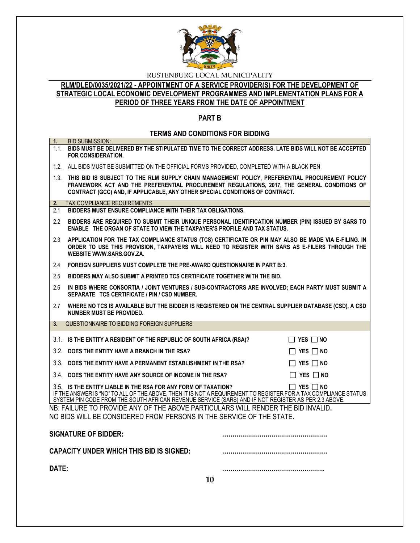

# **RLM/DLED/0035/2021/22 - APPOINTMENT OF A SERVICE PROVIDER(S) FOR THE DEVELOPMENT OF STRATEGIC LOCAL ECONOMIC DEVELOPMENT PROGRAMMES AND IMPLEMENTATION PLANS FOR A PERIOD OF THREE YEARS FROM THE DATE OF APPOINTMENT**

# **PART B**

# **TERMS AND CONDITIONS FOR BIDDING**

| 1 <sub>1</sub> | <b>BID SUBMISSION:</b><br>1.1. BIDS MUST BE DELIVERED BY THE STIPULATED TIME TO THE CORRECT ADDRESS. LATE BIDS WILL NOT BE ACCEPTED                                                                                                                                                                              |
|----------------|------------------------------------------------------------------------------------------------------------------------------------------------------------------------------------------------------------------------------------------------------------------------------------------------------------------|
|                | <b>FOR CONSIDERATION.</b>                                                                                                                                                                                                                                                                                        |
|                | 1.2. ALL BIDS MUST BE SUBMITTED ON THE OFFICIAL FORMS PROVIDED, COMPLETED WITH A BLACK PEN                                                                                                                                                                                                                       |
|                | 1.3. THIS BID IS SUBJECT TO THE RLM SUPPLY CHAIN MANAGEMENT POLICY, PREFERENTIAL PROCUREMENT POLICY<br>FRAMEWORK ACT AND THE PREFERENTIAL PROCUREMENT REGULATIONS, 2017, THE GENERAL CONDITIONS OF<br>CONTRACT (GCC) AND, IF APPLICABLE, ANY OTHER SPECIAL CONDITIONS OF CONTRACT.                               |
| 2.             | <b>TAX COMPLIANCE REQUIREMENTS</b>                                                                                                                                                                                                                                                                               |
| 2.1            | BIDDERS MUST ENSURE COMPLIANCE WITH THEIR TAX OBLIGATIONS.                                                                                                                                                                                                                                                       |
| $2.2^{\circ}$  | BIDDERS ARE REQUIRED TO SUBMIT THEIR UNIQUE PERSONAL IDENTIFICATION NUMBER (PIN) ISSUED BY SARS TO<br><b>ENABLE THE ORGAN OF STATE TO VIEW THE TAXPAYER'S PROFILE AND TAX STATUS.</b>                                                                                                                            |
| 2.3            | APPLICATION FOR THE TAX COMPLIANCE STATUS (TCS) CERTIFICATE OR PIN MAY ALSO BE MADE VIA E-FILING. IN<br>ORDER TO USE THIS PROVISION, TAXPAYERS WILL NEED TO REGISTER WITH SARS AS E-FILERS THROUGH THE<br>WEBSITE WWW.SARS.GOV.ZA.                                                                               |
| 2.4            | FOREIGN SUPPLIERS MUST COMPLETE THE PRE-AWARD QUESTIONNAIRE IN PART B:3.                                                                                                                                                                                                                                         |
| 2.5            | BIDDERS MAY ALSO SUBMIT A PRINTED TCS CERTIFICATE TOGETHER WITH THE BID.                                                                                                                                                                                                                                         |
| 2.6            | IN BIDS WHERE CONSORTIA / JOINT VENTURES / SUB-CONTRACTORS ARE INVOLVED; EACH PARTY MUST SUBMIT A<br>SEPARATE TCS CERTIFICATE / PIN / CSD NUMBER.                                                                                                                                                                |
| 2.7            | WHERE NO TCS IS AVAILABLE BUT THE BIDDER IS REGISTERED ON THE CENTRAL SUPPLIER DATABASE (CSD), A CSD<br>NUMBER MUST BE PROVIDED.                                                                                                                                                                                 |
| 3.             | QUESTIONNAIRE TO BIDDING FOREIGN SUPPLIERS                                                                                                                                                                                                                                                                       |
|                | 3.1. IS THE ENTITY A RESIDENT OF THE REPUBLIC OF SOUTH AFRICA (RSA)?<br>$\Box$ YES $\Box$ No                                                                                                                                                                                                                     |
|                | 3.2. DOES THE ENTITY HAVE A BRANCH IN THE RSA?<br>$\Box$ YES $\Box$ NO                                                                                                                                                                                                                                           |
|                | 3.3. DOES THE ENTITY HAVE A PERMANENT ESTABLISHMENT IN THE RSA?<br>$\Box$ YES $\Box$ NO                                                                                                                                                                                                                          |
|                | 3.4. DOES THE ENTITY HAVE ANY SOURCE OF INCOME IN THE RSA?<br>$\Box$ Yes $\Box$ No                                                                                                                                                                                                                               |
|                | 3.5. IS THE ENTITY LIABLE IN THE RSA FOR ANY FORM OF TAXATION?<br>$\Box$ Yes $\Box$ No<br>IF THE ANSWER IS "NO" TO ALL OF THE ABOVE, THEN IT IS NOT A REQUIREMENT TO REGISTER FOR A TAX COMPLIANCE STATUS<br>SYSTEM PIN CODE FROM THE SOUTH AFRICAN REVENUE SERVICE (SARS) AND IF NOT REGISTER AS PER 2.3 ABOVE. |
|                | NB: FAILURE TO PROVIDE ANY OF THE ABOVE PARTICULARS WILL RENDER THE BID INVALID.<br>NO BIDS WILL BE CONSIDERED FROM PERSONS IN THE SERVICE OF THE STATE.                                                                                                                                                         |
|                | <b>SIGNATURE OF BIDDER:</b>                                                                                                                                                                                                                                                                                      |
|                | <b>CAPACITY UNDER WHICH THIS BID IS SIGNED:</b>                                                                                                                                                                                                                                                                  |
| DATE:          |                                                                                                                                                                                                                                                                                                                  |
|                | 10                                                                                                                                                                                                                                                                                                               |
|                |                                                                                                                                                                                                                                                                                                                  |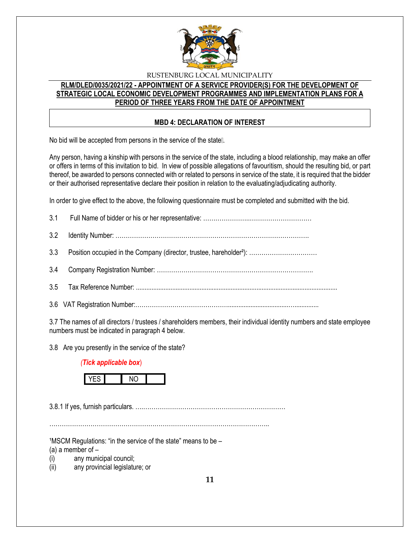

# **RLM/DLED/0035/2021/22 - APPOINTMENT OF A SERVICE PROVIDER(S) FOR THE DEVELOPMENT OF STRATEGIC LOCAL ECONOMIC DEVELOPMENT PROGRAMMES AND IMPLEMENTATION PLANS FOR A PERIOD OF THREE YEARS FROM THE DATE OF APPOINTMENT**

# **MBD 4: DECLARATION OF INTEREST**

No bid will be accepted from persons in the service of the state [].

Any person, having a kinship with persons in the service of the state, including a blood relationship, may make an offer or offers in terms of this invitation to bid. In view of possible allegations of favouritism, should the resulting bid, or part thereof, be awarded to persons connected with or related to persons in service of the state, it is required that the bidder or their authorised representative declare their position in relation to the evaluating/adjudicating authority.

In order to give effect to the above, the following questionnaire must be completed and submitted with the bid.

3.7 The names of all directors / trustees / shareholders members, their individual identity numbers and state employee numbers must be indicated in paragraph 4 below.

3.8 Are you presently in the service of the state?

### *(Tick applicable box*)



3.8.1 If yes, furnish particulars. ….……………………………………………………………

……………………………………………………………………………………………..

 $1$ MSCM Regulations: "in the service of the state" means to be  $-$ 

(a) a member of  $-$ 

(i) any municipal council;

(ii) any provincial legislature; or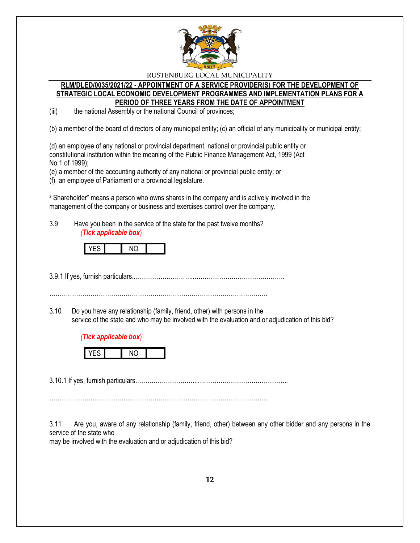

#### **RLM/DLED/0035/2021/22 - APPOINTMENT OF A SERVICE PROVIDER(S) FOR THE DEVELOPMENT OF STRATEGIC LOCAL ECONOMIC DEVELOPMENT PROGRAMMES AND IMPLEMENTATION PLANS FOR A PERIOD OF THREE YEARS FROM THE DATE OF APPOINTMENT**

(iii) the national Assembly or the national Council of provinces;

(b) a member of the board of directors of any municipal entity; (c) an official of any municipality or municipal entity;

(d) an employee of any national or provincial department, national or provincial public entity or constitutional institution within the meaning of the Public Finance Management Act, 1999 (Act No.1 of 1999);

(e) a member of the accounting authority of any national or provincial public entity; or

(f) an employee of Parliament or a provincial legislature.

² Shareholder" means a person who owns shares in the company and is actively involved in the management of the company or business and exercises control over the company.

3.9 Have you been in the service of the state for the past twelve months? *(Tick applicable box*)



3.9.1 If yes, furnish particulars.………………………...……………………………………..

…………………………………………………………………………………………….

3.10 Do you have any relationship (family, friend, other) with persons in the service of the state and who may be involved with the evaluation and or adjudication of this bid?

# *(Tick applicable box*)



3.10.1 If yes, furnish particulars.………………………...……………………………………..

…………………………………………………………………………………………….

3.11 Are you, aware of any relationship (family, friend, other) between any other bidder and any persons in the service of the state who

may be involved with the evaluation and or adjudication of this bid?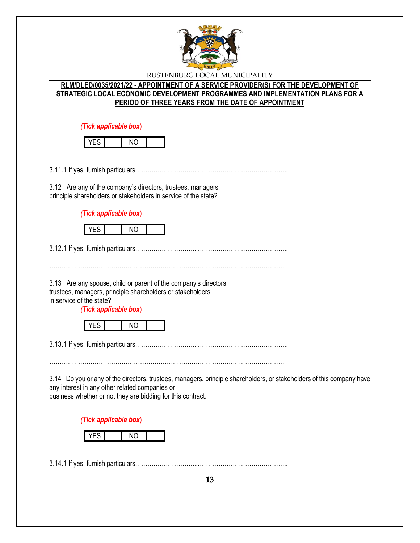

# **RLM/DLED/0035/2021/22 - APPOINTMENT OF A SERVICE PROVIDER(S) FOR THE DEVELOPMENT OF STRATEGIC LOCAL ECONOMIC DEVELOPMENT PROGRAMMES AND IMPLEMENTATION PLANS FOR A PERIOD OF THREE YEARS FROM THE DATE OF APPOINTMENT**

*(Tick applicable box*)

3.11.1 If yes, furnish particulars.………………………...……………………………………..

3.12 Are any of the company's directors, trustees, managers, principle shareholders or stakeholders in service of the state?

*(Tick applicable box*)



3.12.1 If yes, furnish particulars.………………………...……………………………………..

3.13 Are any spouse, child or parent of the company's directors trustees, managers, principle shareholders or stakeholders in service of the state?

*(Tick applicable box*)

|--|

3.13.1 If yes, furnish particulars.………………………...……………………………………..

……………………………………………………………………………………………………

3.14 Do you or any of the directors, trustees, managers, principle shareholders, or stakeholders of this company have any interest in any other related companies or business whether or not they are bidding for this contract.

*(Tick applicable box*)



3.14.1 If yes, furnish particulars.………………………...……………………………………..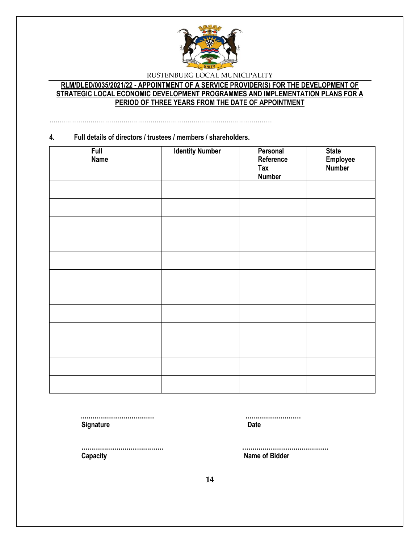

# **RLM/DLED/0035/2021/22 - APPOINTMENT OF A SERVICE PROVIDER(S) FOR THE DEVELOPMENT OF STRATEGIC LOCAL ECONOMIC DEVELOPMENT PROGRAMMES AND IMPLEMENTATION PLANS FOR A PERIOD OF THREE YEARS FROM THE DATE OF APPOINTMENT**

………………………………………………………………………………………………

#### **4. Full details of directors / trustees / members / shareholders.**

| <b>Full</b><br><b>Name</b> | <b>Identity Number</b> | Personal<br>Reference<br><b>Tax</b><br><b>Number</b> | <b>State</b><br>Employee<br>Number |
|----------------------------|------------------------|------------------------------------------------------|------------------------------------|
|                            |                        |                                                      |                                    |
|                            |                        |                                                      |                                    |
|                            |                        |                                                      |                                    |
|                            |                        |                                                      |                                    |
|                            |                        |                                                      |                                    |
|                            |                        |                                                      |                                    |
|                            |                        |                                                      |                                    |
|                            |                        |                                                      |                                    |
|                            |                        |                                                      |                                    |
|                            |                        |                                                      |                                    |
|                            |                        |                                                      |                                    |
|                            |                        |                                                      |                                    |

**Signature Date** 

 **……………………………… ………………………**

 **Capacity Name of Bidder**

 **…………………………………. ……………………………………**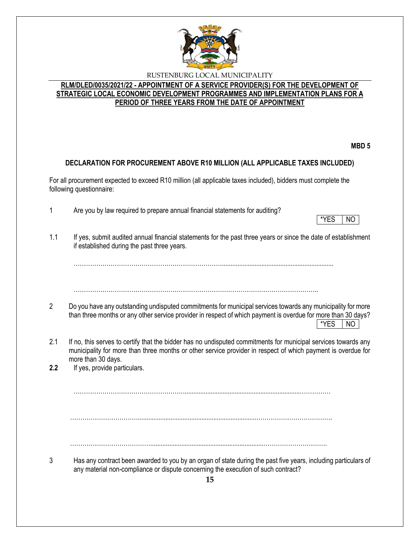

# **RLM/DLED/0035/2021/22 - APPOINTMENT OF A SERVICE PROVIDER(S) FOR THE DEVELOPMENT OF STRATEGIC LOCAL ECONOMIC DEVELOPMENT PROGRAMMES AND IMPLEMENTATION PLANS FOR A PERIOD OF THREE YEARS FROM THE DATE OF APPOINTMENT**

**MBD 5**

# **DECLARATION FOR PROCUREMENT ABOVE R10 MILLION (ALL APPLICABLE TAXES INCLUDED)**

For all procurement expected to exceed R10 million (all applicable taxes included), bidders must complete the following questionnaire:

- 1 Are you by law required to prepare annual financial statements for auditing?
- \*YES NO
- 1.1 If yes, submit audited annual financial statements for the past three years or since the date of establishment if established during the past three years.

……………………………………………………………….................................................................

. The same independent of the same independent of the same independent of the same independent of the same independent of the same independent of the same independent of the same independent of the same independent of the

- 2 Do you have any outstanding undisputed commitments for municipal services towards any municipality for more than three months or any other service provider in respect of which payment is overdue for more than 30 days?  $*$ YES  $|$  NO
- 2.1 If no, this serves to certify that the bidder has no undisputed commitments for municipal services towards any municipality for more than three months or other service provider in respect of which payment is overdue for more than 30 days.

**2.2** If yes, provide particulars.

………………………………………………...................................................................……………

…………………………….....................................................................……………………………….

…………………………………..................................................................………………………….

3 Has any contract been awarded to you by an organ of state during the past five years, including particulars of any material non-compliance or dispute concerning the execution of such contract?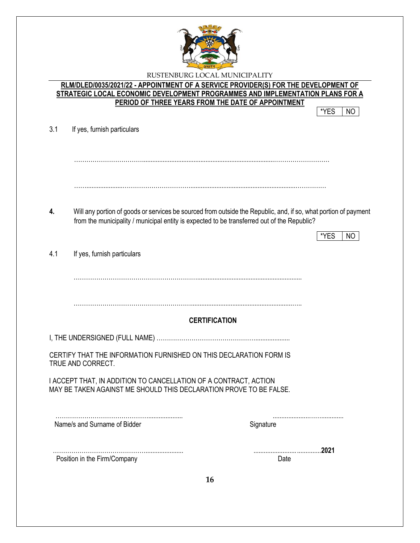

**RLM/DLED/0035/2021/22 - APPOINTMENT OF A SERVICE PROVIDER(S) FOR THE DEVELOPMENT OF STRATEGIC LOCAL ECONOMIC DEVELOPMENT PROGRAMMES AND IMPLEMENTATION PLANS FOR A PERIOD OF THREE YEARS FROM THE DATE OF APPOINTMENT**

\*YES NO

|  | 3.1 |  |  | If yes, furnish particulars |
|--|-----|--|--|-----------------------------|
|--|-----|--|--|-----------------------------|

…………………………….............................................................................………………………

…….....................…………………………….............................................................……………

**4.** Will any portion of goods or services be sourced from outside the Republic, and, if so, what portion of payment from the municipality / municipal entity is expected to be transferred out of the Republic?

|                                                                                                                                        | *YES<br>NC.          |
|----------------------------------------------------------------------------------------------------------------------------------------|----------------------|
| 4.1<br>If yes, furnish particulars                                                                                                     |                      |
|                                                                                                                                        |                      |
|                                                                                                                                        |                      |
|                                                                                                                                        | <b>CERTIFICATION</b> |
|                                                                                                                                        |                      |
| CERTIFY THAT THE INFORMATION FURNISHED ON THIS DECLARATION FORM IS<br>TRUE AND CORRECT.                                                |                      |
| I ACCEPT THAT, IN ADDITION TO CANCELLATION OF A CONTRACT, ACTION<br>MAY BE TAKEN AGAINST ME SHOULD THIS DECLARATION PROVE TO BE FALSE. |                      |
| Name/s and Surname of Bidder                                                                                                           | Signature            |
|                                                                                                                                        | 2021                 |
| Position in the Firm/Company                                                                                                           | Date                 |
| 16                                                                                                                                     |                      |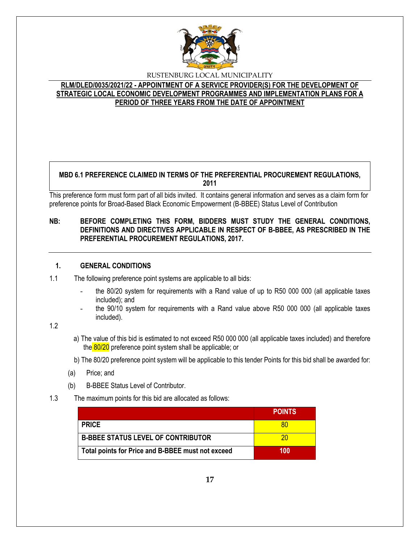

# **RLM/DLED/0035/2021/22 - APPOINTMENT OF A SERVICE PROVIDER(S) FOR THE DEVELOPMENT OF STRATEGIC LOCAL ECONOMIC DEVELOPMENT PROGRAMMES AND IMPLEMENTATION PLANS FOR A PERIOD OF THREE YEARS FROM THE DATE OF APPOINTMENT**

#### **MBD 6.1 PREFERENCE CLAIMED IN TERMS OF THE PREFERENTIAL PROCUREMENT REGULATIONS, 2011**

This preference form must form part of all bids invited. It contains general information and serves as a claim form for preference points for Broad-Based Black Economic Empowerment (B-BBEE) Status Level of Contribution

# **NB: BEFORE COMPLETING THIS FORM, BIDDERS MUST STUDY THE GENERAL CONDITIONS, DEFINITIONS AND DIRECTIVES APPLICABLE IN RESPECT OF B-BBEE, AS PRESCRIBED IN THE PREFERENTIAL PROCUREMENT REGULATIONS, 2017.**

# **1. GENERAL CONDITIONS**

1.1 The following preference point systems are applicable to all bids:

- the 80/20 system for requirements with a Rand value of up to R50 000 000 (all applicable taxes included); and
- the 90/10 system for requirements with a Rand value above R50 000 000 (all applicable taxes included).

1.2

a) The value of this bid is estimated to not exceed R50 000 000 (all applicable taxes included) and therefore the 80/20 preference point system shall be applicable; or

b) The 80/20 preference point system will be applicable to this tender Points for this bid shall be awarded for:

- (a) Price; and
- (b) B-BBEE Status Level of Contributor.
- 1.3 The maximum points for this bid are allocated as follows:

|                                                   | <b>POINTS</b> |
|---------------------------------------------------|---------------|
| <b>PRICE</b>                                      |               |
| <b>B-BBEE STATUS LEVEL OF CONTRIBUTOR</b>         | ንበ            |
| Total points for Price and B-BBEE must not exceed | 100           |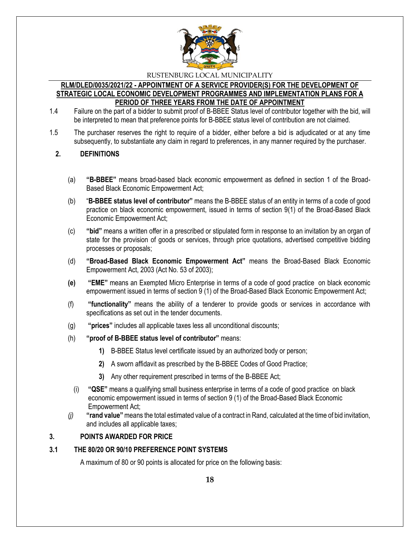

#### **RLM/DLED/0035/2021/22 - APPOINTMENT OF A SERVICE PROVIDER(S) FOR THE DEVELOPMENT OF STRATEGIC LOCAL ECONOMIC DEVELOPMENT PROGRAMMES AND IMPLEMENTATION PLANS FOR A PERIOD OF THREE YEARS FROM THE DATE OF APPOINTMENT**

- 1.4 Failure on the part of a bidder to submit proof of B-BBEE Status level of contributor together with the bid, will be interpreted to mean that preference points for B-BBEE status level of contribution are not claimed.
- 1.5 The purchaser reserves the right to require of a bidder, either before a bid is adjudicated or at any time subsequently, to substantiate any claim in regard to preferences, in any manner required by the purchaser.

#### **2. DEFINITIONS**

- (a) **"B-BBEE"** means broad-based black economic empowerment as defined in section 1 of the Broad-Based Black Economic Empowerment Act;
- (b) "**B-BBEE status level of contributor"** means the B-BBEE status of an entity in terms of a code of good practice on black economic empowerment, issued in terms of section 9(1) of the Broad-Based Black Economic Empowerment Act;
- (c) **"bid"** means a written offer in a prescribed or stipulated form in response to an invitation by an organ of state for the provision of goods or services, through price quotations, advertised competitive bidding processes or proposals;
- (d) **"Broad-Based Black Economic Empowerment Act"** means the Broad-Based Black Economic Empowerment Act, 2003 (Act No. 53 of 2003);
- **(e) "EME"** means an Exempted Micro Enterprise in terms of a code of good practice on black economic empowerment issued in terms of section 9 (1) of the Broad-Based Black Economic Empowerment Act;
- (f) **"functionality"** means the ability of a tenderer to provide goods or services in accordance with specifications as set out in the tender documents.
- (g) **"prices"** includes all applicable taxes less all unconditional discounts;
- (h) **"proof of B-BBEE status level of contributor"** means:
	- **1)** B-BBEE Status level certificate issued by an authorized body or person;
	- **2)** A sworn affidavit as prescribed by the B-BBEE Codes of Good Practice;
	- **3)** Any other requirement prescribed in terms of the B-BBEE Act;
	- (i) **"QSE"** means a qualifying small business enterprise in terms of a code of good practice on black economic empowerment issued in terms of section 9 (1) of the Broad-Based Black Economic Empowerment Act;
- *(j)* **"rand value"**means the total estimated value of a contract in Rand, calculated at the time of bid invitation, and includes all applicable taxes;

#### **3. POINTS AWARDED FOR PRICE**

#### **3.1 THE 80/20 OR 90/10 PREFERENCE POINT SYSTEMS**

A maximum of 80 or 90 points is allocated for price on the following basis: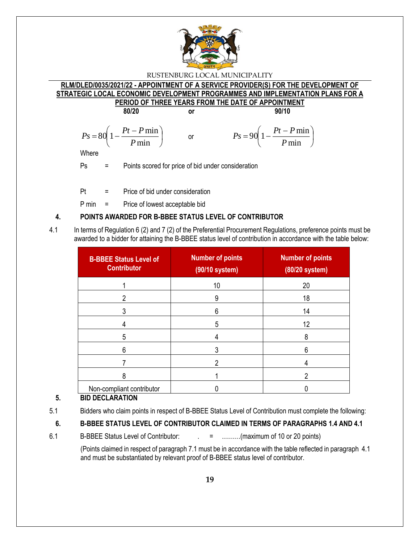

#### **RLM/DLED/0035/2021/22 - APPOINTMENT OF A SERVICE PROVIDER(S) FOR THE DEVELOPMENT OF STRATEGIC LOCAL ECONOMIC DEVELOPMENT PROGRAMMES AND IMPLEMENTATION PLANS FOR A PERIOD OF THREE YEARS FROM THE DATE OF APPOINTMENT**

**80/20 or 90/10**

or

$$
Ps = 80 \left( 1 - \frac{Pt - P \min}{P \min} \right)
$$

$$
P_s = 90 \left( 1 - \frac{Pt - P \min}{P \min} \right)
$$

**Where** 

Ps = Points scored for price of bid under consideration

Pt = Price of bid under consideration

P min = Price of lowest acceptable bid

# **4. POINTS AWARDED FOR B-BBEE STATUS LEVEL OF CONTRIBUTOR**

4.1 In terms of Regulation 6 (2) and 7 (2) of the Preferential Procurement Regulations, preference points must be awarded to a bidder for attaining the B-BBEE status level of contribution in accordance with the table below:

| <b>B-BBEE Status Level of</b><br><b>Contributor</b> | <b>Number of points</b><br>(90/10 system) | <b>Number of points</b><br>$(80/20$ system) |
|-----------------------------------------------------|-------------------------------------------|---------------------------------------------|
|                                                     | 10                                        | 20                                          |
| 2                                                   | 9                                         | 18                                          |
|                                                     | 6                                         | 14                                          |
| 4                                                   | 5                                         | 12                                          |
| 5                                                   |                                           | 8                                           |
| 6                                                   |                                           | 6                                           |
|                                                     |                                           |                                             |
| 8                                                   |                                           | າ                                           |
| Non-compliant contributor                           |                                           |                                             |

# **5. BID DECLARATION**

# **6. B-BBEE STATUS LEVEL OF CONTRIBUTOR CLAIMED IN TERMS OF PARAGRAPHS 1.4 AND 4.1**

6.1 B-BBEE Status Level of Contributor:  $\qquad \qquad = \qquad \qquad \dots \dots \dots \dots$  (maximum of 10 or 20 points)

(Points claimed in respect of paragraph 7.1 must be in accordance with the table reflected in paragraph 4.1 and must be substantiated by relevant proof of B-BBEE status level of contributor.

<sup>5.1</sup> Bidders who claim points in respect of B-BBEE Status Level of Contribution must complete the following: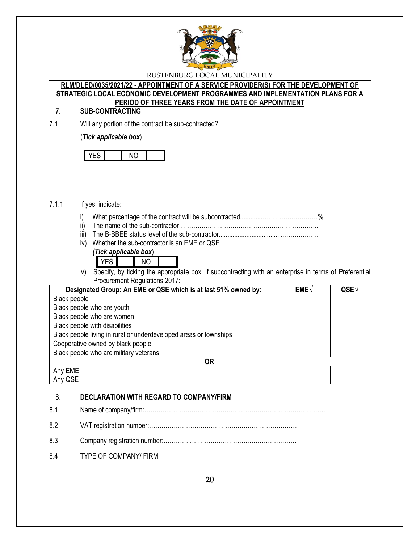

#### **RLM/DLED/0035/2021/22 - APPOINTMENT OF A SERVICE PROVIDER(S) FOR THE DEVELOPMENT OF STRATEGIC LOCAL ECONOMIC DEVELOPMENT PROGRAMMES AND IMPLEMENTATION PLANS FOR A PERIOD OF THREE YEARS FROM THE DATE OF APPOINTMENT**

# **7. SUB-CONTRACTING**

7.1 Will any portion of the contract be sub-contracted?

#### (*Tick applicable box*)

# 7.1.1 If yes, indicate:

- i) What percentage of the contract will be subcontracted............…………….…………%
- ii) The name of the sub-contractor…………………………………………………………..
- iii) The B-BBEE status level of the sub-contractor......................................……………..
- iv) Whether the sub-contractor is an EME or QSE *(Tick applicable box*)
	- YES NO
- v) Specify, by ticking the appropriate box, if subcontracting with an enterprise in terms of Preferential Procurement Regulations,2017:

| Designated Group: An EME or QSE which is at last 51% owned by:    | <b>EME</b> | QSE |
|-------------------------------------------------------------------|------------|-----|
| Black people                                                      |            |     |
| Black people who are youth                                        |            |     |
| Black people who are women                                        |            |     |
| Black people with disabilities                                    |            |     |
| Black people living in rural or underdeveloped areas or townships |            |     |
| Cooperative owned by black people                                 |            |     |
| Black people who are military veterans                            |            |     |
| <b>OR</b>                                                         |            |     |
| Any EME                                                           |            |     |
| Any QSE                                                           |            |     |

# 8. **DECLARATION WITH REGARD TO COMPANY/FIRM**

- 8.1 Name of company/firm:…………………………………………………………………………….
- 8.2 VAT registration number:……………………………………….………………………
- 8.3 Company registration number:………….……………………….……………………
- 8.4 TYPE OF COMPANY/ FIRM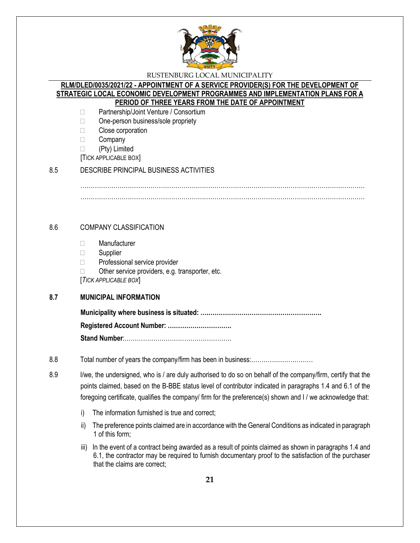

#### **RLM/DLED/0035/2021/22 - APPOINTMENT OF A SERVICE PROVIDER(S) FOR THE DEVELOPMENT OF STRATEGIC LOCAL ECONOMIC DEVELOPMENT PROGRAMMES AND IMPLEMENTATION PLANS FOR A PERIOD OF THREE YEARS FROM THE DATE OF APPOINTMENT**

- □ Partnership/Joint Venture / Consortium
- □ One-person business/sole propriety
- □ Close corporation
- **Company**
- (Pty) Limited
- [TICK APPLICABLE BOX]

#### 8.5 DESCRIBE PRINCIPAL BUSINESS ACTIVITIES

………………………………………………………………………………………………………………………… …………………………………………………………………………………………………………………………

# 8.6 COMPANY CLASSIFICATION

- Manufacturer
- □ Supplier
- □ Professional service provider
- $\Box$  Other service providers, e.g. transporter, etc.

[*TICK APPLICABLE BOX*]

# **8.7 MUNICIPAL INFORMATION**

**Municipality where business is situated: ….………………………………………………. Registered Account Number: ………………………….**

**Stand Number**:…………………………………………….

- 8.8 Total number of years the company/firm has been in business:…………………………
- 8.9 I/we, the undersigned, who is / are duly authorised to do so on behalf of the company/firm, certify that the points claimed, based on the B-BBE status level of contributor indicated in paragraphs 1.4 and 6.1 of the foregoing certificate, qualifies the company/ firm for the preference(s) shown and I / we acknowledge that:
	- i) The information furnished is true and correct;
	- ii) The preference points claimed are in accordance with the General Conditions as indicated in paragraph 1 of this form;
	- iii) In the event of a contract being awarded as a result of points claimed as shown in paragraphs 1.4 and 6.1, the contractor may be required to furnish documentary proof to the satisfaction of the purchaser that the claims are correct;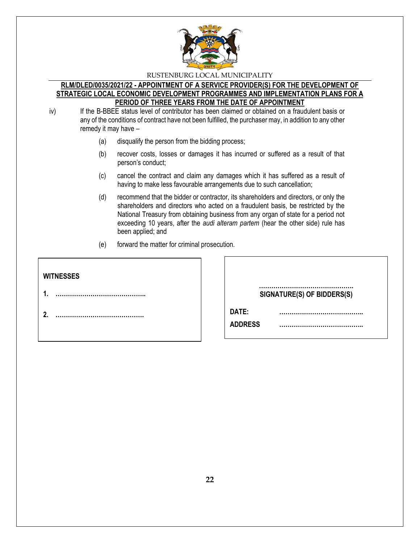

#### **RLM/DLED/0035/2021/22 - APPOINTMENT OF A SERVICE PROVIDER(S) FOR THE DEVELOPMENT OF STRATEGIC LOCAL ECONOMIC DEVELOPMENT PROGRAMMES AND IMPLEMENTATION PLANS FOR A PERIOD OF THREE YEARS FROM THE DATE OF APPOINTMENT**

iv) If the B-BBEE status level of contributor has been claimed or obtained on a fraudulent basis or any of the conditions of contract have not been fulfilled, the purchaser may, in addition to any other remedy it may have –

- (a) disqualify the person from the bidding process;
- (b) recover costs, losses or damages it has incurred or suffered as a result of that person's conduct;
- (c) cancel the contract and claim any damages which it has suffered as a result of having to make less favourable arrangements due to such cancellation;
- (d) recommend that the bidder or contractor, its shareholders and directors, or only the shareholders and directors who acted on a fraudulent basis, be restricted by the National Treasury from obtaining business from any organ of state for a period not exceeding 10 years, after the *audi alteram partem* (hear the other side) rule has been applied; and
- (e) forward the matter for criminal prosecution.

| <b>WITNESSES</b> |                            |
|------------------|----------------------------|
|                  | SIGNATURE(S) OF BIDDERS(S) |
|                  | DATE:<br><b>ADDRESS</b>    |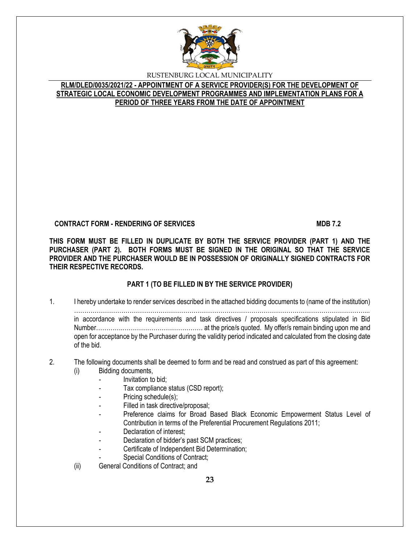

**RLM/DLED/0035/2021/22 - APPOINTMENT OF A SERVICE PROVIDER(S) FOR THE DEVELOPMENT OF STRATEGIC LOCAL ECONOMIC DEVELOPMENT PROGRAMMES AND IMPLEMENTATION PLANS FOR A PERIOD OF THREE YEARS FROM THE DATE OF APPOINTMENT**

# **CONTRACT FORM - RENDERING OF SERVICES MDB 7.2**

**THIS FORM MUST BE FILLED IN DUPLICATE BY BOTH THE SERVICE PROVIDER (PART 1) AND THE PURCHASER (PART 2). BOTH FORMS MUST BE SIGNED IN THE ORIGINAL SO THAT THE SERVICE PROVIDER AND THE PURCHASER WOULD BE IN POSSESSION OF ORIGINALLY SIGNED CONTRACTS FOR THEIR RESPECTIVE RECORDS.**

# **PART 1 (TO BE FILLED IN BY THE SERVICE PROVIDER)**

1. I hereby undertake to render services described in the attached bidding documents to (name of the institution) ……………………………………………………………………………………………………………………………... in accordance with the requirements and task directives / proposals specifications stipulated in Bid Number………….………………………………… at the price/s quoted. My offer/s remain binding upon me and open for acceptance by the Purchaser during the validity period indicated and calculated from the closing date of the bid.

# 2. The following documents shall be deemed to form and be read and construed as part of this agreement:

- (i) Bidding documents,
	- *-* Invitation to bid;
	- *-* Tax compliance status (CSD report);
	- Pricing schedule(s);
	- Filled in task directive/proposal;
	- Preference claims for Broad Based Black Economic Empowerment Status Level of Contribution in terms of the Preferential Procurement Regulations 2011;
	- *-* Declaration of interest;
	- *-* Declaration of bidder's past SCM practices;
	- *-* Certificate of Independent Bid Determination;
	- **Special Conditions of Contract;**
- (ii) General Conditions of Contract; and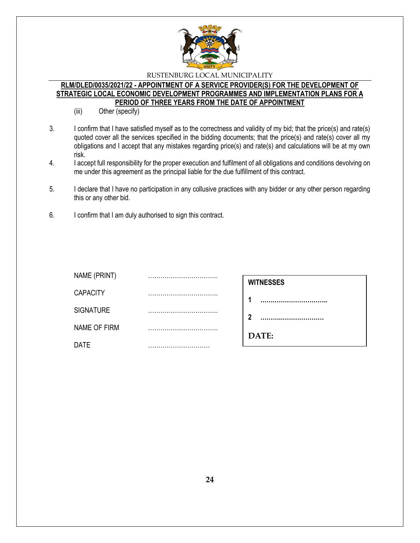

#### **RLM/DLED/0035/2021/22 - APPOINTMENT OF A SERVICE PROVIDER(S) FOR THE DEVELOPMENT OF STRATEGIC LOCAL ECONOMIC DEVELOPMENT PROGRAMMES AND IMPLEMENTATION PLANS FOR A PERIOD OF THREE YEARS FROM THE DATE OF APPOINTMENT**

- (iii) Other (specify)
- 3. I confirm that I have satisfied myself as to the correctness and validity of my bid; that the price(s) and rate(s) quoted cover all the services specified in the bidding documents; that the price(s) and rate(s) cover all my obligations and I accept that any mistakes regarding price(s) and rate(s) and calculations will be at my own risk.
- 4. I accept full responsibility for the proper execution and fulfilment of all obligations and conditions devolving on me under this agreement as the principal liable for the due fulfillment of this contract.
- 5. I declare that I have no participation in any collusive practices with any bidder or any other person regarding this or any other bid.
- 6. I confirm that I am duly authorised to sign this contract.

| NAME (PRINT)     |                      |
|------------------|----------------------|
|                  | <br><b>WITNESSES</b> |
| <b>CAPACITY</b>  |                      |
| <b>SIGNATURE</b> | <br>າ                |
| NAME OF FIRM     | <br>DATE:            |
| <b>DATE</b>      |                      |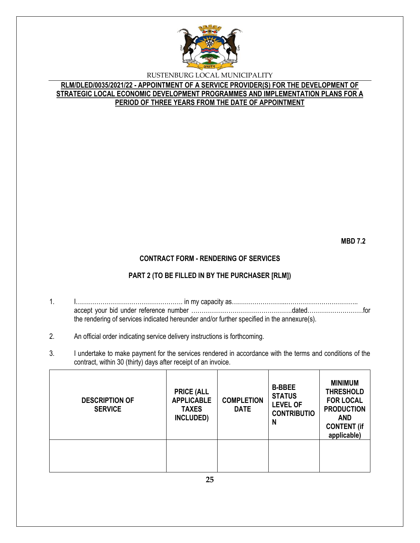

**RLM/DLED/0035/2021/22 - APPOINTMENT OF A SERVICE PROVIDER(S) FOR THE DEVELOPMENT OF STRATEGIC LOCAL ECONOMIC DEVELOPMENT PROGRAMMES AND IMPLEMENTATION PLANS FOR A PERIOD OF THREE YEARS FROM THE DATE OF APPOINTMENT**

**MBD 7.2**

#### **CONTRACT FORM - RENDERING OF SERVICES**

#### **PART 2 (TO BE FILLED IN BY THE PURCHASER [RLM])**

- 1. I……………………………………………. in my capacity as……………………...…………………………….. accept your bid under reference number ………………………………………….dated………………………for the rendering of services indicated hereunder and/or further specified in the annexure(s).
- 2. An official order indicating service delivery instructions is forthcoming.
- 3. I undertake to make payment for the services rendered in accordance with the terms and conditions of the contract, within 30 (thirty) days after receipt of an invoice.

| <b>DESCRIPTION OF</b><br><b>SERVICE</b> | <b>PRICE (ALL</b><br><b>APPLICABLE</b><br><b>TAXES</b><br>INCLUDED) | <b>COMPLETION</b><br><b>DATE</b> | <b>B-BBEE</b><br><b>STATUS</b><br><b>LEVEL OF</b><br><b>CONTRIBUTIO</b><br>N | <b>MINIMUM</b><br><b>THRESHOLD</b><br><b>FOR LOCAL</b><br><b>PRODUCTION</b><br><b>AND</b><br><b>CONTENT (if</b><br>applicable) |
|-----------------------------------------|---------------------------------------------------------------------|----------------------------------|------------------------------------------------------------------------------|--------------------------------------------------------------------------------------------------------------------------------|
|                                         |                                                                     |                                  |                                                                              |                                                                                                                                |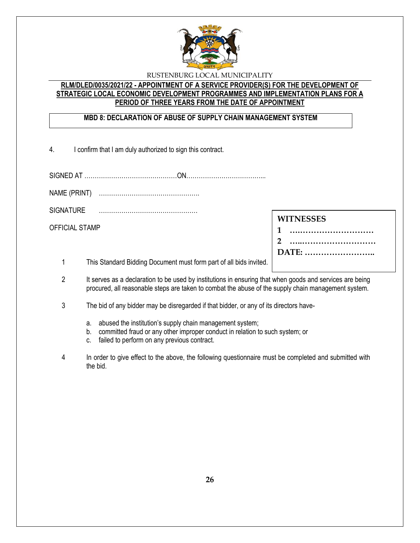

# **RLM/DLED/0035/2021/22 - APPOINTMENT OF A SERVICE PROVIDER(S) FOR THE DEVELOPMENT OF STRATEGIC LOCAL ECONOMIC DEVELOPMENT PROGRAMMES AND IMPLEMENTATION PLANS FOR A PERIOD OF THREE YEARS FROM THE DATE OF APPOINTMENT**

# **MBD 8: DECLARATION OF ABUSE OF SUPPLY CHAIN MANAGEMENT SYSTEM**

4. I confirm that I am duly authorized to sign this contract.

SIGNED AT ………………………………………ON………………………………...

NAME (PRINT) ………………………………………….

SIGNATURE …………………………………………

OFFICIAL STAMP

| <b>WITNESSES</b> |  |
|------------------|--|
| 1                |  |
|                  |  |
| DATE:            |  |
|                  |  |

1 This Standard Bidding Document must form part of all bids invited.

- 2 It serves as a declaration to be used by institutions in ensuring that when goods and services are being procured, all reasonable steps are taken to combat the abuse of the supply chain management system.
- 3 The bid of any bidder may be disregarded if that bidder, or any of its directors have
	- a. abused the institution's supply chain management system;
	- b. committed fraud or any other improper conduct in relation to such system; or
	- c. failed to perform on any previous contract.
- 4 In order to give effect to the above, the following questionnaire must be completed and submitted with the bid.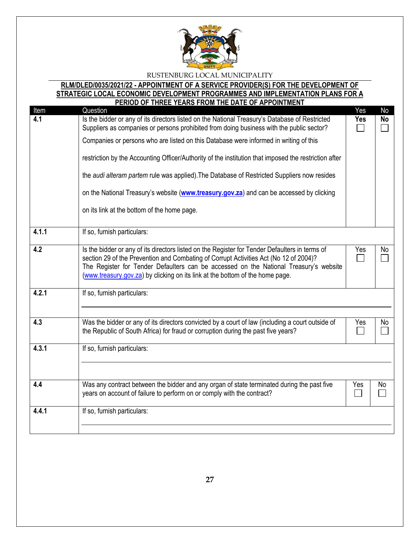

#### **RLM/DLED/0035/2021/22 - APPOINTMENT OF A SERVICE PROVIDER(S) FOR THE DEVELOPMENT OF STRATEGIC LOCAL ECONOMIC DEVELOPMENT PROGRAMMES AND IMPLEMENTATION PLANS FOR A PERIOD OF THREE YEARS FROM THE DATE OF APPOINTMENT**

| Item  | <u>FENIOD OF THREE TEARS FROM THE DATE OF AFFOINTMENT</u><br>Question                                                                                                                                                                                                                                                                                             | Yes | <b>No</b> |
|-------|-------------------------------------------------------------------------------------------------------------------------------------------------------------------------------------------------------------------------------------------------------------------------------------------------------------------------------------------------------------------|-----|-----------|
| 4.1   | Is the bidder or any of its directors listed on the National Treasury's Database of Restricted<br>Suppliers as companies or persons prohibited from doing business with the public sector?                                                                                                                                                                        | Yes | <b>No</b> |
|       | Companies or persons who are listed on this Database were informed in writing of this                                                                                                                                                                                                                                                                             |     |           |
|       | restriction by the Accounting Officer/Authority of the institution that imposed the restriction after                                                                                                                                                                                                                                                             |     |           |
|       | the audi alteram partem rule was applied). The Database of Restricted Suppliers now resides                                                                                                                                                                                                                                                                       |     |           |
|       | on the National Treasury's website (www.treasury.gov.za) and can be accessed by clicking                                                                                                                                                                                                                                                                          |     |           |
|       | on its link at the bottom of the home page.                                                                                                                                                                                                                                                                                                                       |     |           |
| 4.1.1 | If so, furnish particulars:                                                                                                                                                                                                                                                                                                                                       |     |           |
| 4.2   | Is the bidder or any of its directors listed on the Register for Tender Defaulters in terms of<br>section 29 of the Prevention and Combating of Corrupt Activities Act (No 12 of 2004)?<br>The Register for Tender Defaulters can be accessed on the National Treasury's website<br>(www.treasury.gov.za) by clicking on its link at the bottom of the home page. | Yes | No        |
| 4.2.1 | If so, furnish particulars:                                                                                                                                                                                                                                                                                                                                       |     |           |
| 4.3   | Was the bidder or any of its directors convicted by a court of law (including a court outside of<br>the Republic of South Africa) for fraud or corruption during the past five years?                                                                                                                                                                             | Yes | No        |
| 4.3.1 | If so, furnish particulars:                                                                                                                                                                                                                                                                                                                                       |     |           |
|       |                                                                                                                                                                                                                                                                                                                                                                   |     |           |
| 4.4   | Was any contract between the bidder and any organ of state terminated during the past five<br>years on account of failure to perform on or comply with the contract?                                                                                                                                                                                              | Yes | No        |
| 4.4.1 | If so, furnish particulars:                                                                                                                                                                                                                                                                                                                                       |     |           |
|       |                                                                                                                                                                                                                                                                                                                                                                   |     |           |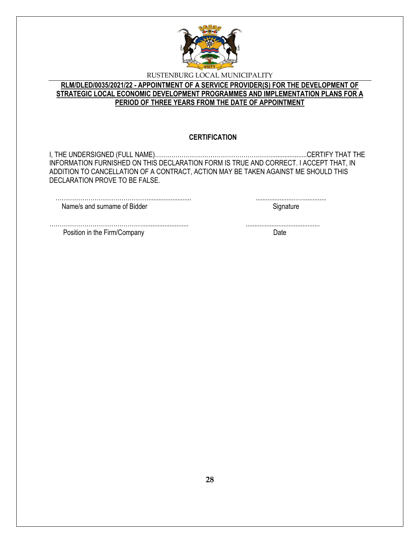

# **RLM/DLED/0035/2021/22 - APPOINTMENT OF A SERVICE PROVIDER(S) FOR THE DEVELOPMENT OF STRATEGIC LOCAL ECONOMIC DEVELOPMENT PROGRAMMES AND IMPLEMENTATION PLANS FOR A PERIOD OF THREE YEARS FROM THE DATE OF APPOINTMENT**

#### **CERTIFICATION**

I, THE UNDERSIGNED (FULL NAME)…………………………………………………....................CERTIFY THAT THE INFORMATION FURNISHED ON THIS DECLARATION FORM IS TRUE AND CORRECT. I ACCEPT THAT, IN ADDITION TO CANCELLATION OF A CONTRACT, ACTION MAY BE TAKEN AGAINST ME SHOULD THIS DECLARATION PROVE TO BE FALSE.

………………………………………........................... ...........................................

………………………………………......................... .....................……............. Name/s and surname of Bidder Signature Signature

Position in the Firm/Company Date by the Second Date of the Second Date of the Date of the Date of the Date of the Date of the Date of the Date of the Date of the Date of the Date of the Date of the Date of the Date of the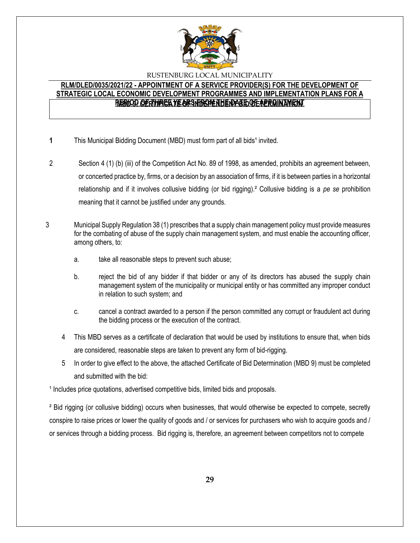

# **RLM/DLED/0035/2021/22 - APPOINTMENT OF A SERVICE PROVIDER(S) FOR THE DEVELOPMENT OF STRATEGIC LOCAL ECONOMIC DEVELOPMENT PROGRAMMES AND IMPLEMENTATION PLANS FOR A**  <u>RESIOD OF RTHREE YE ARSNBOM THE NATED OF APPOINTMENT</u>

- **1** This Municipal Bidding Document (MBD) must form part of all bids<sup>1</sup> invited.
- 2 Section 4 (1) (b) (iii) of the Competition Act No. 89 of 1998, as amended, prohibits an agreement between, or concerted practice by, firms, or a decision by an association of firms, if it is between parties in a horizontal relationship and if it involves collusive bidding (or bid rigging).² Collusive bidding is a *pe se* prohibition meaning that it cannot be justified under any grounds.
- 3 Municipal Supply Regulation 38 (1) prescribes that a supply chain management policy must provide measures for the combating of abuse of the supply chain management system, and must enable the accounting officer, among others, to:
	- a. take all reasonable steps to prevent such abuse;
	- b. reject the bid of any bidder if that bidder or any of its directors has abused the supply chain management system of the municipality or municipal entity or has committed any improper conduct in relation to such system; and
	- c. cancel a contract awarded to a person if the person committed any corrupt or fraudulent act during the bidding process or the execution of the contract.
	- 4 This MBD serves as a certificate of declaration that would be used by institutions to ensure that, when bids are considered, reasonable steps are taken to prevent any form of bid-rigging.
	- 5 In order to give effect to the above, the attached Certificate of Bid Determination (MBD 9) must be completed and submitted with the bid:

<sup>1</sup> Includes price quotations, advertised competitive bids, limited bids and proposals.

² Bid rigging (or collusive bidding) occurs when businesses, that would otherwise be expected to compete, secretly conspire to raise prices or lower the quality of goods and / or services for purchasers who wish to acquire goods and / or services through a bidding process. Bid rigging is, therefore, an agreement between competitors not to compete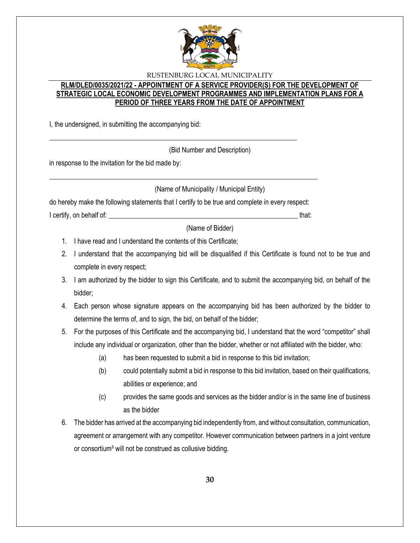

# **RLM/DLED/0035/2021/22 - APPOINTMENT OF A SERVICE PROVIDER(S) FOR THE DEVELOPMENT OF STRATEGIC LOCAL ECONOMIC DEVELOPMENT PROGRAMMES AND IMPLEMENTATION PLANS FOR A PERIOD OF THREE YEARS FROM THE DATE OF APPOINTMENT**

I, the undersigned, in submitting the accompanying bid:

(Bid Number and Description)

in response to the invitation for the bid made by:

(Name of Municipality / Municipal Entity)

do hereby make the following statements that I certify to be true and complete in every respect: I certify, on behalf of: the state of the state of the state of the state of the state of the state of the stat

\_\_\_\_\_\_\_\_\_\_\_\_\_\_\_\_\_\_\_\_\_\_\_\_\_\_\_\_\_\_\_\_\_\_\_\_\_\_\_\_\_\_\_\_\_\_\_\_\_\_\_\_\_\_\_\_\_\_\_\_\_\_\_\_\_\_\_\_\_\_\_\_\_\_\_\_\_\_

\_\_\_\_\_\_\_\_\_\_\_\_\_\_\_\_\_\_\_\_\_\_\_\_\_\_\_\_\_\_\_\_\_\_\_\_\_\_\_\_\_\_\_\_\_\_\_\_\_\_\_\_\_\_\_\_\_\_\_\_\_\_\_\_\_\_\_\_\_\_\_\_

(Name of Bidder)

- 1. I have read and I understand the contents of this Certificate;
- 2. I understand that the accompanying bid will be disqualified if this Certificate is found not to be true and complete in every respect;
- 3. I am authorized by the bidder to sign this Certificate, and to submit the accompanying bid, on behalf of the bidder;
- 4. Each person whose signature appears on the accompanying bid has been authorized by the bidder to determine the terms of, and to sign, the bid, on behalf of the bidder;
- 5. For the purposes of this Certificate and the accompanying bid, I understand that the word "competitor" shall include any individual or organization, other than the bidder, whether or not affiliated with the bidder, who:
	- (a) has been requested to submit a bid in response to this bid invitation;
	- (b) could potentially submit a bid in response to this bid invitation, based on their qualifications, abilities or experience; and
	- (c) provides the same goods and services as the bidder and/or is in the same line of business as the bidder
- 6. The bidder has arrived at the accompanying bid independently from, and without consultation, communication, agreement or arrangement with any competitor. However communication between partners in a joint venture or consortium<sup>3</sup> will not be construed as collusive bidding.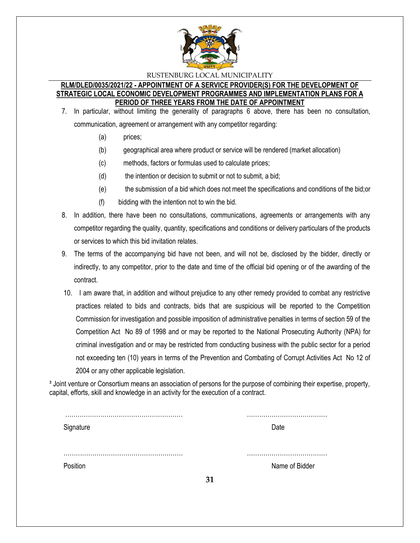

#### **RLM/DLED/0035/2021/22 - APPOINTMENT OF A SERVICE PROVIDER(S) FOR THE DEVELOPMENT OF STRATEGIC LOCAL ECONOMIC DEVELOPMENT PROGRAMMES AND IMPLEMENTATION PLANS FOR A PERIOD OF THREE YEARS FROM THE DATE OF APPOINTMENT**

- 7. In particular, without limiting the generality of paragraphs 6 above, there has been no consultation, communication, agreement or arrangement with any competitor regarding:
	- (a) prices;
	- (b) geographical area where product or service will be rendered (market allocation)
	- (c) methods, factors or formulas used to calculate prices;
	- (d) the intention or decision to submit or not to submit, a bid;
	- (e) the submission of a bid which does not meet the specifications and conditions of the bid;or
	- (f) bidding with the intention not to win the bid.
- 8. In addition, there have been no consultations, communications, agreements or arrangements with any competitor regarding the quality, quantity, specifications and conditions or delivery particulars of the products or services to which this bid invitation relates.
- 9. The terms of the accompanying bid have not been, and will not be, disclosed by the bidder, directly or indirectly, to any competitor, prior to the date and time of the official bid opening or of the awarding of the contract.
- 10. I am aware that, in addition and without prejudice to any other remedy provided to combat any restrictive practices related to bids and contracts, bids that are suspicious will be reported to the Competition Commission for investigation and possible imposition of administrative penalties in terms of section 59 of the Competition Act No 89 of 1998 and or may be reported to the National Prosecuting Authority (NPA) for criminal investigation and or may be restricted from conducting business with the public sector for a period not exceeding ten (10) years in terms of the Prevention and Combating of Corrupt Activities Act No 12 of 2004 or any other applicable legislation.

<sup>3</sup> Joint venture or Consortium means an association of persons for the purpose of combining their expertise, property, capital, efforts, skill and knowledge in an activity for the execution of a contract.

| Signature |    | Date           |
|-----------|----|----------------|
|           |    |                |
|           |    |                |
|           |    |                |
| Position  |    | Name of Bidder |
|           | 31 |                |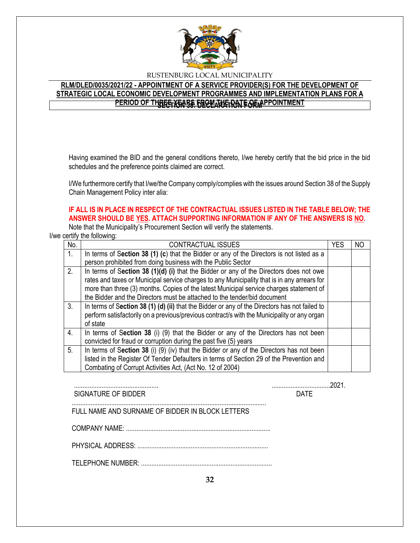

# **RLM/DLED/0035/2021/22 - APPOINTMENT OF A SERVICE PROVIDER(S) FOR THE DEVELOPMENT OF STRATEGIC LOCAL ECONOMIC DEVELOPMENT PROGRAMMES AND IMPLEMENTATION PLANS FOR A PERIOD OF THREE YEARS FROM THE DATE OF APPOINTMENT**

Having examined the BID and the general conditions thereto, I/we hereby certify that the bid price in the bid schedules and the preference points claimed are correct.

I/We furthermore certify that I/we/the Company comply/complies with the issues around Section 38 of the Supply Chain Management Policy inter alia:

# **IF ALL IS IN PLACE IN RESPECT OF THE CONTRACTUAL ISSUES LISTED IN THE TABLE BELOW; THE ANSWER SHOULD BE YES. ATTACH SUPPORTING INFORMATION IF ANY OF THE ANSWERS IS NO.**

Note that the Municipality's Procurement Section will verify the statements.

I/we certify the following:

| No.              | <b>CONTRACTUAL ISSUES</b>                                                                     | <b>YES</b> | ΝO |
|------------------|-----------------------------------------------------------------------------------------------|------------|----|
| 1 <sub>1</sub>   | In terms of Section 38 (1) (c) that the Bidder or any of the Directors is not listed as a     |            |    |
|                  | person prohibited from doing business with the Public Sector                                  |            |    |
| 2.               | In terms of Section 38 (1)(d) (i) that the Bidder or any of the Directors does not owe        |            |    |
|                  | rates and taxes or Municipal service charges to any Municipality that is in any arrears for   |            |    |
|                  | more than three (3) months. Copies of the latest Municipal service charges statement of       |            |    |
|                  | the Bidder and the Directors must be attached to the tender/bid document                      |            |    |
| 3 <sub>1</sub>   | In terms of Section 38 (1) (d) (ii) that the Bidder or any of the Directors has not failed to |            |    |
|                  | perform satisfactorily on a previous/previous contract/s with the Municipality or any organ   |            |    |
|                  | of state                                                                                      |            |    |
| $\overline{4}$ . | In terms of Section 38 (i) (9) that the Bidder or any of the Directors has not been           |            |    |
|                  | convicted for fraud or corruption during the past five (5) years                              |            |    |
| 5 <sub>1</sub>   | In terms of Section 38 (i) (9) (iv) that the Bidder or any of the Directors has not been      |            |    |
|                  | listed in the Register Of Tender Defaulters in terms of Section 29 of the Prevention and      |            |    |
|                  | Combating of Corrupt Activities Act, (Act No. 12 of 2004)                                     |            |    |

SIGNATURE OF BIDDER **DATE** 

................................................. ..................................2021.

FULL NAME AND SURNAME OF BIDDER IN BLOCK LETTERS

COMPANY NAME: ....................................................................................

.................................................................................................................

PHYSICAL ADDRESS: ............................................................................

TELEPHONE NUMBER: ............................................................................

**32**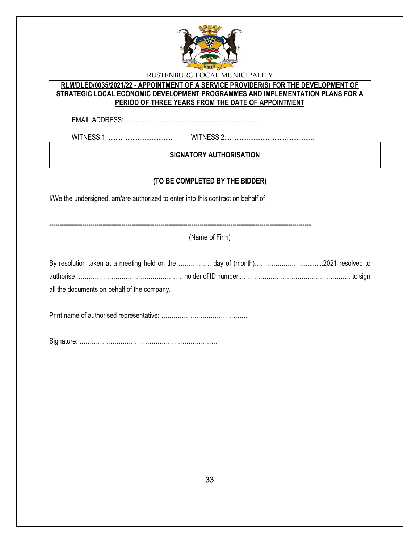

# **RLM/DLED/0035/2021/22 - APPOINTMENT OF A SERVICE PROVIDER(S) FOR THE DEVELOPMENT OF STRATEGIC LOCAL ECONOMIC DEVELOPMENT PROGRAMMES AND IMPLEMENTATION PLANS FOR A PERIOD OF THREE YEARS FROM THE DATE OF APPOINTMENT**

EMAIL ADDRESS: ..............................................................................

WITNESS 1: ...................................... WITNESS 2: ..................................................

# **SIGNATORY AUTHORISATION**

# **(TO BE COMPLETED BY THE BIDDER)**

I/We the undersigned, am/are authorized to enter into this contract on behalf of

-------------------------------------------------------------------------------------------------------------------------------

(Name of Firm)

| all the documents on behalf of the company. |  |  |
|---------------------------------------------|--|--|

Print name of authorised representative: ……………………………………

Signature: ………………………………………………………….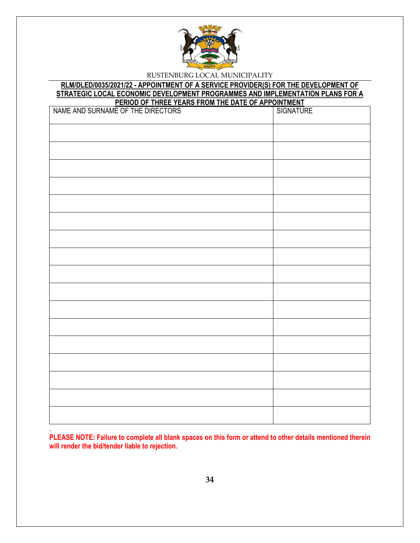

#### **RLM/DLED/0035/2021/22 - APPOINTMENT OF A SERVICE PROVIDER(S) FOR THE DEVELOPMENT OF STRATEGIC LOCAL ECONOMIC DEVELOPMENT PROGRAMMES AND IMPLEMENTATION PLANS FOR A PERIOD OF THREE YEARS FROM THE DATE OF APPOINTMENT**

| NAME AND SURNAME OF THE DIRECTORS | SIGNATURE |
|-----------------------------------|-----------|
|                                   |           |
|                                   |           |
|                                   |           |
|                                   |           |
|                                   |           |
|                                   |           |
|                                   |           |
|                                   |           |
|                                   |           |
|                                   |           |
|                                   |           |
|                                   |           |
|                                   |           |
|                                   |           |
|                                   |           |
|                                   |           |
|                                   |           |

. **PLEASE NOTE: Failure to complete all blank spaces on this form or attend to other details mentioned therein will render the bid/tender liable to rejection.**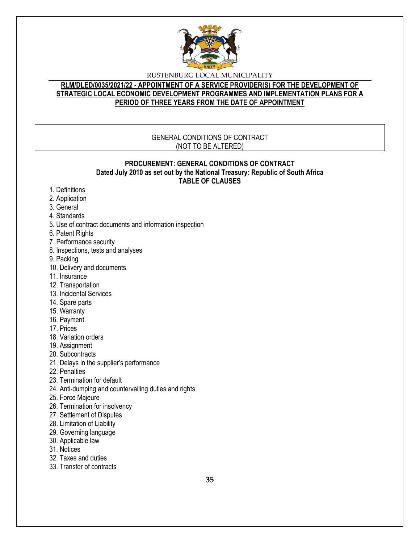

# **RLM/DLED/0035/2021/22 - APPOINTMENT OF A SERVICE PROVIDER(S) FOR THE DEVELOPMENT OF STRATEGIC LOCAL ECONOMIC DEVELOPMENT PROGRAMMES AND IMPLEMENTATION PLANS FOR A PERIOD OF THREE YEARS FROM THE DATE OF APPOINTMENT**

#### GENERAL CONDITIONS OF CONTRACT (NOT TO BE ALTERED)

#### **PROCUREMENT: GENERAL CONDITIONS OF CONTRACT Dated July 2010 as set out by the National Treasury: Republic of South Africa TABLE OF CLAUSES**

- 1. Definitions
- 2. Application
- 3. General
- 4. Standards
- 5. Use of contract documents and information inspection
- 6. Patent Rights
- 7. Performance security
- 8. Inspections, tests and analyses
- 9. Packing
- 10. Delivery and documents
- 11. Insurance
- 12. Transportation
- 13. Incidental Services
- 14. Spare parts
- 15. Warranty
- 16. Payment
- 17. Prices
- 18. Variation orders
- 19. Assignment
- 20. Subcontracts
- 21. Delays in the supplier's performance
- 22. Penalties
- 23. Termination for default
- 24. Anti-dumping and countervailing duties and rights
- 25. Force Majeure
- 26. Termination for insolvency
- 27. Settlement of Disputes
- 28. Limitation of Liability
- 29. Governing language
- 30. Applicable law
- 31. Notices
- 32. Taxes and duties
- 33. Transfer of contracts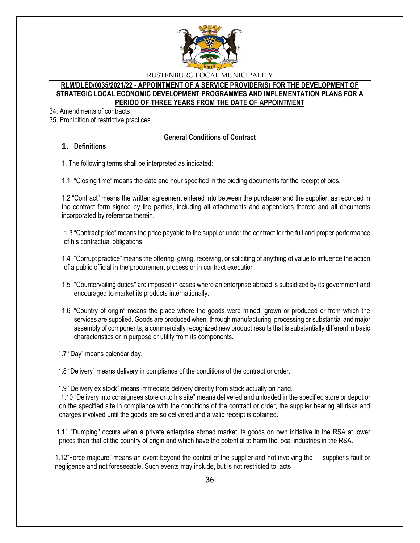

#### **RLM/DLED/0035/2021/22 - APPOINTMENT OF A SERVICE PROVIDER(S) FOR THE DEVELOPMENT OF STRATEGIC LOCAL ECONOMIC DEVELOPMENT PROGRAMMES AND IMPLEMENTATION PLANS FOR A PERIOD OF THREE YEARS FROM THE DATE OF APPOINTMENT**

34. Amendments of contracts

35. Prohibition of restrictive practices

### **General Conditions of Contract**

# **1. Definitions**

1. The following terms shall be interpreted as indicated:

1.1 "Closing time" means the date and hour specified in the bidding documents for the receipt of bids.

1.2 "Contract" means the written agreement entered into between the purchaser and the supplier, as recorded in the contract form signed by the parties, including all attachments and appendices thereto and all documents incorporated by reference therein.

1.3 "Contract price" means the price payable to the supplier under the contract for the full and proper performance of his contractual obligations.

1.4 "Corrupt practice" means the offering, giving, receiving, or soliciting of anything of value to influence the action of a public official in the procurement process or in contract execution.

- 1.5 "Countervailing duties" are imposed in cases where an enterprise abroad is subsidized by its government and encouraged to market its products internationally.
- 1.6 "Country of origin" means the place where the goods were mined, grown or produced or from which the services are supplied. Goods are produced when, through manufacturing, processing or substantial and major assembly of components, a commercially recognized new product results that is substantially different in basic characteristics or in purpose or utility from its components.

1.7 "Day" means calendar day.

1.8 "Delivery" means delivery in compliance of the conditions of the contract or order.

1.9 "Delivery ex stock" means immediate delivery directly from stock actually on hand.

1.10 "Delivery into consignees store or to his site" means delivered and unloaded in the specified store or depot or on the specified site in compliance with the conditions of the contract or order, the supplier bearing all risks and charges involved until the goods are so delivered and a valid receipt is obtained.

 1.11 "Dumping" occurs when a private enterprise abroad market its goods on own initiative in the RSA at lower prices than that of the country of origin and which have the potential to harm the local industries in the RSA.

1.12"Force majeure" means an event beyond the control of the supplier and not involving the supplier's fault or negligence and not foreseeable. Such events may include, but is not restricted to, acts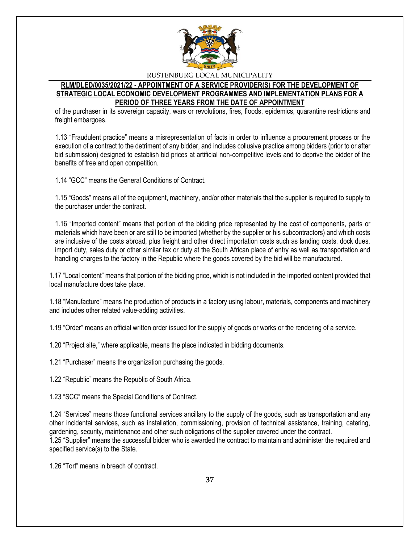

## **RLM/DLED/0035/2021/22 - APPOINTMENT OF A SERVICE PROVIDER(S) FOR THE DEVELOPMENT OF STRATEGIC LOCAL ECONOMIC DEVELOPMENT PROGRAMMES AND IMPLEMENTATION PLANS FOR A PERIOD OF THREE YEARS FROM THE DATE OF APPOINTMENT**

of the purchaser in its sovereign capacity, wars or revolutions, fires, floods, epidemics, quarantine restrictions and freight embargoes.

1.13 "Fraudulent practice" means a misrepresentation of facts in order to influence a procurement process or the execution of a contract to the detriment of any bidder, and includes collusive practice among bidders (prior to or after bid submission) designed to establish bid prices at artificial non-competitive levels and to deprive the bidder of the benefits of free and open competition.

1.14 "GCC" means the General Conditions of Contract.

1.15 "Goods" means all of the equipment, machinery, and/or other materials that the supplier is required to supply to the purchaser under the contract.

1.16 "Imported content" means that portion of the bidding price represented by the cost of components, parts or materials which have been or are still to be imported (whether by the supplier or his subcontractors) and which costs are inclusive of the costs abroad, plus freight and other direct importation costs such as landing costs, dock dues, import duty, sales duty or other similar tax or duty at the South African place of entry as well as transportation and handling charges to the factory in the Republic where the goods covered by the bid will be manufactured.

1.17 "Local content" means that portion of the bidding price, which is not included in the imported content provided that local manufacture does take place.

1.18 "Manufacture" means the production of products in a factory using labour, materials, components and machinery and includes other related value-adding activities.

1.19 "Order" means an official written order issued for the supply of goods or works or the rendering of a service.

1.20 "Project site," where applicable, means the place indicated in bidding documents.

1.21 "Purchaser" means the organization purchasing the goods.

1.22 "Republic" means the Republic of South Africa.

1.23 "SCC" means the Special Conditions of Contract.

1.24 "Services" means those functional services ancillary to the supply of the goods, such as transportation and any other incidental services, such as installation, commissioning, provision of technical assistance, training, catering, gardening, security, maintenance and other such obligations of the supplier covered under the contract. 1.25 "Supplier" means the successful bidder who is awarded the contract to maintain and administer the required and specified service(s) to the State.

1.26 "Tort" means in breach of contract.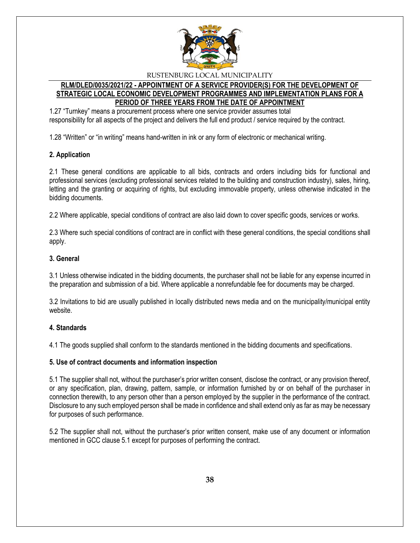

# **RLM/DLED/0035/2021/22 - APPOINTMENT OF A SERVICE PROVIDER(S) FOR THE DEVELOPMENT OF STRATEGIC LOCAL ECONOMIC DEVELOPMENT PROGRAMMES AND IMPLEMENTATION PLANS FOR A PERIOD OF THREE YEARS FROM THE DATE OF APPOINTMENT**

1.27 "Turnkey" means a procurement process where one service provider assumes total responsibility for all aspects of the project and delivers the full end product / service required by the contract.

1.28 "Written" or "in writing" means hand-written in ink or any form of electronic or mechanical writing.

# **2. Application**

2.1 These general conditions are applicable to all bids, contracts and orders including bids for functional and professional services (excluding professional services related to the building and construction industry), sales, hiring, letting and the granting or acquiring of rights, but excluding immovable property, unless otherwise indicated in the bidding documents.

2.2 Where applicable, special conditions of contract are also laid down to cover specific goods, services or works.

2.3 Where such special conditions of contract are in conflict with these general conditions, the special conditions shall apply.

#### **3. General**

3.1 Unless otherwise indicated in the bidding documents, the purchaser shall not be liable for any expense incurred in the preparation and submission of a bid. Where applicable a nonrefundable fee for documents may be charged.

3.2 Invitations to bid are usually published in locally distributed news media and on the municipality/municipal entity website.

#### **4. Standards**

4.1 The goods supplied shall conform to the standards mentioned in the bidding documents and specifications.

#### **5. Use of contract documents and information inspection**

5.1 The supplier shall not, without the purchaser's prior written consent, disclose the contract, or any provision thereof, or any specification, plan, drawing, pattern, sample, or information furnished by or on behalf of the purchaser in connection therewith, to any person other than a person employed by the supplier in the performance of the contract. Disclosure to any such employed person shall be made in confidence and shall extend only as far as may be necessary for purposes of such performance.

5.2 The supplier shall not, without the purchaser's prior written consent, make use of any document or information mentioned in GCC clause 5.1 except for purposes of performing the contract.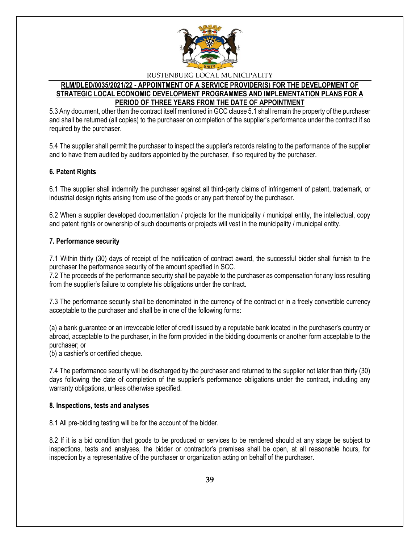

# **RLM/DLED/0035/2021/22 - APPOINTMENT OF A SERVICE PROVIDER(S) FOR THE DEVELOPMENT OF STRATEGIC LOCAL ECONOMIC DEVELOPMENT PROGRAMMES AND IMPLEMENTATION PLANS FOR A PERIOD OF THREE YEARS FROM THE DATE OF APPOINTMENT**

5.3 Any document, other than the contract itself mentioned in GCC clause 5.1 shall remain the property of the purchaser and shall be returned (all copies) to the purchaser on completion of the supplier's performance under the contract if so required by the purchaser.

5.4 The supplier shall permit the purchaser to inspect the supplier's records relating to the performance of the supplier and to have them audited by auditors appointed by the purchaser, if so required by the purchaser.

# **6. Patent Rights**

6.1 The supplier shall indemnify the purchaser against all third-party claims of infringement of patent, trademark, or industrial design rights arising from use of the goods or any part thereof by the purchaser.

6.2 When a supplier developed documentation / projects for the municipality / municipal entity, the intellectual, copy and patent rights or ownership of such documents or projects will vest in the municipality / municipal entity.

#### **7. Performance security**

7.1 Within thirty (30) days of receipt of the notification of contract award, the successful bidder shall furnish to the purchaser the performance security of the amount specified in SCC.

7.2 The proceeds of the performance security shall be payable to the purchaser as compensation for any loss resulting from the supplier's failure to complete his obligations under the contract.

7.3 The performance security shall be denominated in the currency of the contract or in a freely convertible currency acceptable to the purchaser and shall be in one of the following forms:

(a) a bank guarantee or an irrevocable letter of credit issued by a reputable bank located in the purchaser's country or abroad, acceptable to the purchaser, in the form provided in the bidding documents or another form acceptable to the purchaser; or

(b) a cashier's or certified cheque.

7.4 The performance security will be discharged by the purchaser and returned to the supplier not later than thirty (30) days following the date of completion of the supplier's performance obligations under the contract, including any warranty obligations, unless otherwise specified.

#### **8. Inspections, tests and analyses**

8.1 All pre-bidding testing will be for the account of the bidder.

8.2 If it is a bid condition that goods to be produced or services to be rendered should at any stage be subject to inspections, tests and analyses, the bidder or contractor's premises shall be open, at all reasonable hours, for inspection by a representative of the purchaser or organization acting on behalf of the purchaser.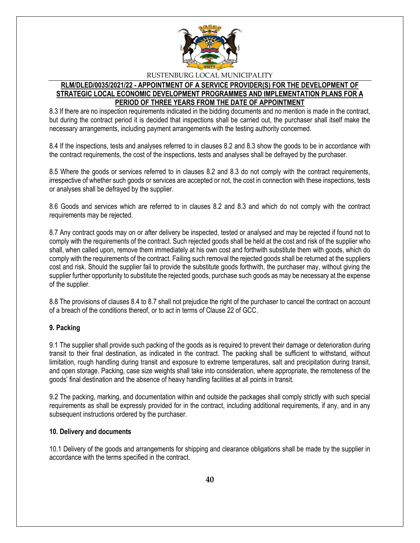

# **RLM/DLED/0035/2021/22 - APPOINTMENT OF A SERVICE PROVIDER(S) FOR THE DEVELOPMENT OF STRATEGIC LOCAL ECONOMIC DEVELOPMENT PROGRAMMES AND IMPLEMENTATION PLANS FOR A PERIOD OF THREE YEARS FROM THE DATE OF APPOINTMENT**

8.3 If there are no inspection requirements indicated in the bidding documents and no mention is made in the contract, but during the contract period it is decided that inspections shall be carried out, the purchaser shall itself make the necessary arrangements, including payment arrangements with the testing authority concerned.

8.4 If the inspections, tests and analyses referred to in clauses 8.2 and 8.3 show the goods to be in accordance with the contract requirements, the cost of the inspections, tests and analyses shall be defrayed by the purchaser.

8.5 Where the goods or services referred to in clauses 8.2 and 8.3 do not comply with the contract requirements, irrespective of whether such goods or services are accepted or not, the cost in connection with these inspections, tests or analyses shall be defrayed by the supplier.

8.6 Goods and services which are referred to in clauses 8.2 and 8.3 and which do not comply with the contract requirements may be rejected.

8.7 Any contract goods may on or after delivery be inspected, tested or analysed and may be rejected if found not to comply with the requirements of the contract. Such rejected goods shall be held at the cost and risk of the supplier who shall, when called upon, remove them immediately at his own cost and forthwith substitute them with goods, which do comply with the requirements of the contract. Failing such removal the rejected goods shall be returned at the suppliers cost and risk. Should the supplier fail to provide the substitute goods forthwith, the purchaser may, without giving the supplier further opportunity to substitute the rejected goods, purchase such goods as may be necessary at the expense of the supplier.

8.8 The provisions of clauses 8.4 to 8.7 shall not prejudice the right of the purchaser to cancel the contract on account of a breach of the conditions thereof, or to act in terms of Clause 22 of GCC.

# **9. Packing**

9.1 The supplier shall provide such packing of the goods as is required to prevent their damage or deterioration during transit to their final destination, as indicated in the contract. The packing shall be sufficient to withstand, without limitation, rough handling during transit and exposure to extreme temperatures, salt and precipitation during transit, and open storage. Packing, case size weights shall take into consideration, where appropriate, the remoteness of the goods' final destination and the absence of heavy handling facilities at all points in transit.

9.2 The packing, marking, and documentation within and outside the packages shall comply strictly with such special requirements as shall be expressly provided for in the contract, including additional requirements, if any, and in any subsequent instructions ordered by the purchaser.

#### **10. Delivery and documents**

10.1 Delivery of the goods and arrangements for shipping and clearance obligations shall be made by the supplier in accordance with the terms specified in the contract.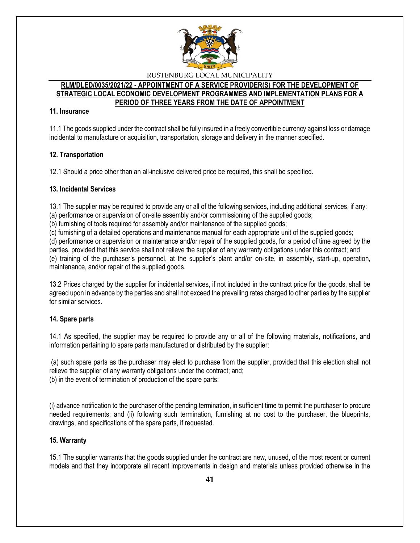

#### **RLM/DLED/0035/2021/22 - APPOINTMENT OF A SERVICE PROVIDER(S) FOR THE DEVELOPMENT OF STRATEGIC LOCAL ECONOMIC DEVELOPMENT PROGRAMMES AND IMPLEMENTATION PLANS FOR A PERIOD OF THREE YEARS FROM THE DATE OF APPOINTMENT**

#### **11. Insurance**

11.1 The goods supplied under the contract shall be fully insured in a freely convertible currency against loss or damage incidental to manufacture or acquisition, transportation, storage and delivery in the manner specified.

# **12. Transportation**

12.1 Should a price other than an all-inclusive delivered price be required, this shall be specified.

# **13. Incidental Services**

13.1 The supplier may be required to provide any or all of the following services, including additional services, if any: (a) performance or supervision of on-site assembly and/or commissioning of the supplied goods;

(b) furnishing of tools required for assembly and/or maintenance of the supplied goods;

(c) furnishing of a detailed operations and maintenance manual for each appropriate unit of the supplied goods;

(d) performance or supervision or maintenance and/or repair of the supplied goods, for a period of time agreed by the parties, provided that this service shall not relieve the supplier of any warranty obligations under this contract; and (e) training of the purchaser's personnel, at the supplier's plant and/or on-site, in assembly, start-up, operation, maintenance, and/or repair of the supplied goods.

13.2 Prices charged by the supplier for incidental services, if not included in the contract price for the goods, shall be agreed upon in advance by the parties and shall not exceed the prevailing rates charged to other parties by the supplier for similar services.

# **14. Spare parts**

14.1 As specified, the supplier may be required to provide any or all of the following materials, notifications, and information pertaining to spare parts manufactured or distributed by the supplier:

(a) such spare parts as the purchaser may elect to purchase from the supplier, provided that this election shall not relieve the supplier of any warranty obligations under the contract; and; (b) in the event of termination of production of the spare parts:

(i) advance notification to the purchaser of the pending termination, in sufficient time to permit the purchaser to procure needed requirements; and (ii) following such termination, furnishing at no cost to the purchaser, the blueprints, drawings, and specifications of the spare parts, if requested.

# **15. Warranty**

15.1 The supplier warrants that the goods supplied under the contract are new, unused, of the most recent or current models and that they incorporate all recent improvements in design and materials unless provided otherwise in the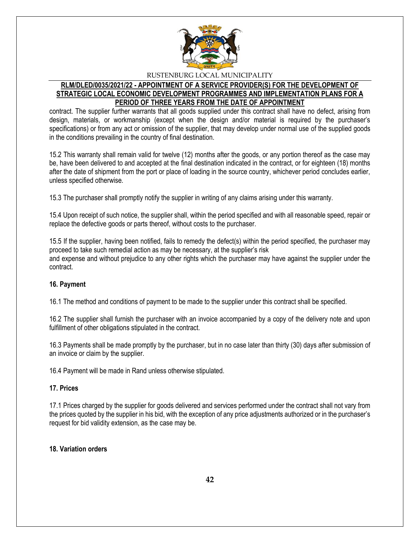

# **RLM/DLED/0035/2021/22 - APPOINTMENT OF A SERVICE PROVIDER(S) FOR THE DEVELOPMENT OF STRATEGIC LOCAL ECONOMIC DEVELOPMENT PROGRAMMES AND IMPLEMENTATION PLANS FOR A PERIOD OF THREE YEARS FROM THE DATE OF APPOINTMENT**

contract. The supplier further warrants that all goods supplied under this contract shall have no defect, arising from design, materials, or workmanship (except when the design and/or material is required by the purchaser's specifications) or from any act or omission of the supplier, that may develop under normal use of the supplied goods in the conditions prevailing in the country of final destination.

15.2 This warranty shall remain valid for twelve (12) months after the goods, or any portion thereof as the case may be, have been delivered to and accepted at the final destination indicated in the contract, or for eighteen (18) months after the date of shipment from the port or place of loading in the source country, whichever period concludes earlier, unless specified otherwise.

15.3 The purchaser shall promptly notify the supplier in writing of any claims arising under this warranty.

15.4 Upon receipt of such notice, the supplier shall, within the period specified and with all reasonable speed, repair or replace the defective goods or parts thereof, without costs to the purchaser.

15.5 If the supplier, having been notified, fails to remedy the defect(s) within the period specified, the purchaser may proceed to take such remedial action as may be necessary, at the supplier's risk and expense and without prejudice to any other rights which the purchaser may have against the supplier under the contract.

# **16. Payment**

16.1 The method and conditions of payment to be made to the supplier under this contract shall be specified.

16.2 The supplier shall furnish the purchaser with an invoice accompanied by a copy of the delivery note and upon fulfillment of other obligations stipulated in the contract.

16.3 Payments shall be made promptly by the purchaser, but in no case later than thirty (30) days after submission of an invoice or claim by the supplier.

16.4 Payment will be made in Rand unless otherwise stipulated.

#### **17. Prices**

17.1 Prices charged by the supplier for goods delivered and services performed under the contract shall not vary from the prices quoted by the supplier in his bid, with the exception of any price adjustments authorized or in the purchaser's request for bid validity extension, as the case may be.

#### **18. Variation orders**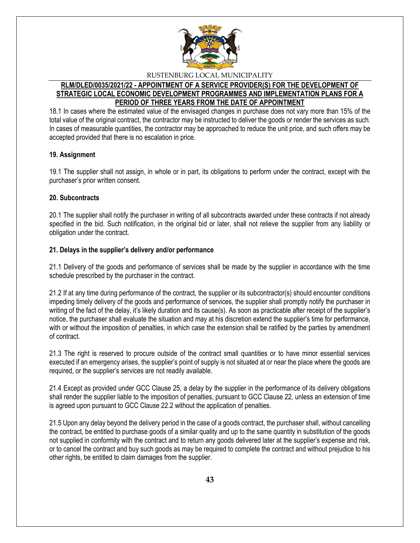

# **RLM/DLED/0035/2021/22 - APPOINTMENT OF A SERVICE PROVIDER(S) FOR THE DEVELOPMENT OF STRATEGIC LOCAL ECONOMIC DEVELOPMENT PROGRAMMES AND IMPLEMENTATION PLANS FOR A PERIOD OF THREE YEARS FROM THE DATE OF APPOINTMENT**

18.1 In cases where the estimated value of the envisaged changes in purchase does not vary more than 15% of the total value of the original contract, the contractor may be instructed to deliver the goods or render the services as such. In cases of measurable quantities, the contractor may be approached to reduce the unit price, and such offers may be accepted provided that there is no escalation in price.

#### **19. Assignment**

19.1 The supplier shall not assign, in whole or in part, its obligations to perform under the contract, except with the purchaser's prior written consent.

#### **20. Subcontracts**

20.1 The supplier shall notify the purchaser in writing of all subcontracts awarded under these contracts if not already specified in the bid. Such notification, in the original bid or later, shall not relieve the supplier from any liability or obligation under the contract.

#### **21. Delays in the supplier's delivery and/or performance**

21.1 Delivery of the goods and performance of services shall be made by the supplier in accordance with the time schedule prescribed by the purchaser in the contract.

21.2 If at any time during performance of the contract, the supplier or its subcontractor(s) should encounter conditions impeding timely delivery of the goods and performance of services, the supplier shall promptly notify the purchaser in writing of the fact of the delay, it's likely duration and its cause(s). As soon as practicable after receipt of the supplier's notice, the purchaser shall evaluate the situation and may at his discretion extend the supplier's time for performance, with or without the imposition of penalties, in which case the extension shall be ratified by the parties by amendment of contract.

21.3 The right is reserved to procure outside of the contract small quantities or to have minor essential services executed if an emergency arises, the supplier's point of supply is not situated at or near the place where the goods are required, or the supplier's services are not readily available.

21.4 Except as provided under GCC Clause 25, a delay by the supplier in the performance of its delivery obligations shall render the supplier liable to the imposition of penalties, pursuant to GCC Clause 22, unless an extension of time is agreed upon pursuant to GCC Clause 22.2 without the application of penalties.

21.5 Upon any delay beyond the delivery period in the case of a goods contract, the purchaser shall, without cancelling the contract, be entitled to purchase goods of a similar quality and up to the same quantity in substitution of the goods not supplied in conformity with the contract and to return any goods delivered later at the supplier's expense and risk, or to cancel the contract and buy such goods as may be required to complete the contract and without prejudice to his other rights, be entitled to claim damages from the supplier.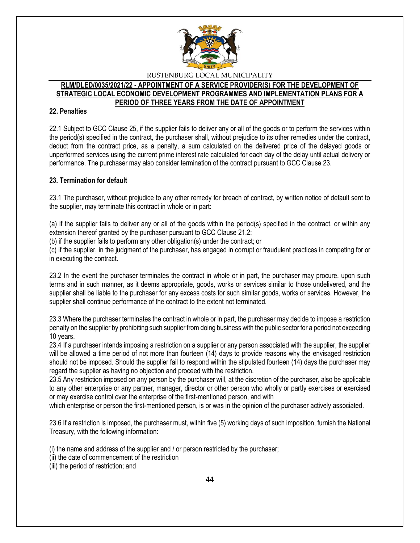

#### **RLM/DLED/0035/2021/22 - APPOINTMENT OF A SERVICE PROVIDER(S) FOR THE DEVELOPMENT OF STRATEGIC LOCAL ECONOMIC DEVELOPMENT PROGRAMMES AND IMPLEMENTATION PLANS FOR A PERIOD OF THREE YEARS FROM THE DATE OF APPOINTMENT**

#### **22. Penalties**

22.1 Subject to GCC Clause 25, if the supplier fails to deliver any or all of the goods or to perform the services within the period(s) specified in the contract, the purchaser shall, without prejudice to its other remedies under the contract, deduct from the contract price, as a penalty, a sum calculated on the delivered price of the delayed goods or unperformed services using the current prime interest rate calculated for each day of the delay until actual delivery or performance. The purchaser may also consider termination of the contract pursuant to GCC Clause 23.

#### **23. Termination for default**

23.1 The purchaser, without prejudice to any other remedy for breach of contract, by written notice of default sent to the supplier, may terminate this contract in whole or in part:

(a) if the supplier fails to deliver any or all of the goods within the period(s) specified in the contract, or within any extension thereof granted by the purchaser pursuant to GCC Clause 21.2;

(b) if the supplier fails to perform any other obligation(s) under the contract; or

(c) if the supplier, in the judgment of the purchaser, has engaged in corrupt or fraudulent practices in competing for or in executing the contract.

23.2 In the event the purchaser terminates the contract in whole or in part, the purchaser may procure, upon such terms and in such manner, as it deems appropriate, goods, works or services similar to those undelivered, and the supplier shall be liable to the purchaser for any excess costs for such similar goods, works or services. However, the supplier shall continue performance of the contract to the extent not terminated.

23.3 Where the purchaser terminates the contract in whole or in part, the purchaser may decide to impose a restriction penalty on the supplier by prohibiting such supplier from doing business with the public sector for a period not exceeding 10 years.

23.4 If a purchaser intends imposing a restriction on a supplier or any person associated with the supplier, the supplier will be allowed a time period of not more than fourteen (14) days to provide reasons why the envisaged restriction should not be imposed. Should the supplier fail to respond within the stipulated fourteen (14) days the purchaser may regard the supplier as having no objection and proceed with the restriction.

23.5 Any restriction imposed on any person by the purchaser will, at the discretion of the purchaser, also be applicable to any other enterprise or any partner, manager, director or other person who wholly or partly exercises or exercised or may exercise control over the enterprise of the first-mentioned person, and with

which enterprise or person the first-mentioned person, is or was in the opinion of the purchaser actively associated.

23.6 If a restriction is imposed, the purchaser must, within five (5) working days of such imposition, furnish the National Treasury, with the following information:

(i) the name and address of the supplier and / or person restricted by the purchaser;

- (ii) the date of commencement of the restriction
- (iii) the period of restriction; and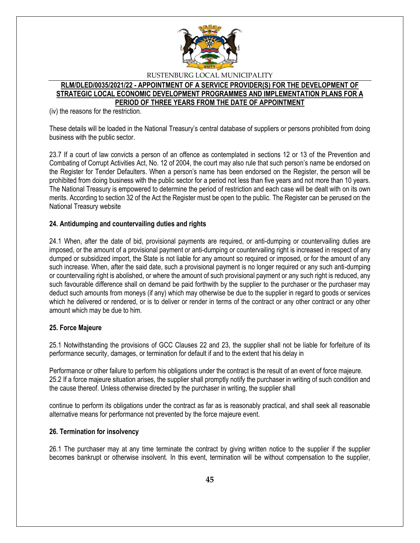

#### **RLM/DLED/0035/2021/22 - APPOINTMENT OF A SERVICE PROVIDER(S) FOR THE DEVELOPMENT OF STRATEGIC LOCAL ECONOMIC DEVELOPMENT PROGRAMMES AND IMPLEMENTATION PLANS FOR A PERIOD OF THREE YEARS FROM THE DATE OF APPOINTMENT**

(iv) the reasons for the restriction.

These details will be loaded in the National Treasury's central database of suppliers or persons prohibited from doing business with the public sector.

23.7 If a court of law convicts a person of an offence as contemplated in sections 12 or 13 of the Prevention and Combating of Corrupt Activities Act, No. 12 of 2004, the court may also rule that such person's name be endorsed on the Register for Tender Defaulters. When a person's name has been endorsed on the Register, the person will be prohibited from doing business with the public sector for a period not less than five years and not more than 10 years. The National Treasury is empowered to determine the period of restriction and each case will be dealt with on its own merits. According to section 32 of the Act the Register must be open to the public. The Register can be perused on the National Treasury website

#### **24. Antidumping and countervailing duties and rights**

24.1 When, after the date of bid, provisional payments are required, or anti-dumping or countervailing duties are imposed, or the amount of a provisional payment or anti-dumping or countervailing right is increased in respect of any dumped or subsidized import, the State is not liable for any amount so required or imposed, or for the amount of any such increase. When, after the said date, such a provisional payment is no longer required or any such anti-dumping or countervailing right is abolished, or where the amount of such provisional payment or any such right is reduced, any such favourable difference shall on demand be paid forthwith by the supplier to the purchaser or the purchaser may deduct such amounts from moneys (if any) which may otherwise be due to the supplier in regard to goods or services which he delivered or rendered, or is to deliver or render in terms of the contract or any other contract or any other amount which may be due to him.

#### **25. Force Majeure**

25.1 Notwithstanding the provisions of GCC Clauses 22 and 23, the supplier shall not be liable for forfeiture of its performance security, damages, or termination for default if and to the extent that his delay in

Performance or other failure to perform his obligations under the contract is the result of an event of force majeure. 25.2 If a force majeure situation arises, the supplier shall promptly notify the purchaser in writing of such condition and the cause thereof. Unless otherwise directed by the purchaser in writing, the supplier shall

continue to perform its obligations under the contract as far as is reasonably practical, and shall seek all reasonable alternative means for performance not prevented by the force majeure event.

#### **26. Termination for insolvency**

26.1 The purchaser may at any time terminate the contract by giving written notice to the supplier if the supplier becomes bankrupt or otherwise insolvent. In this event, termination will be without compensation to the supplier,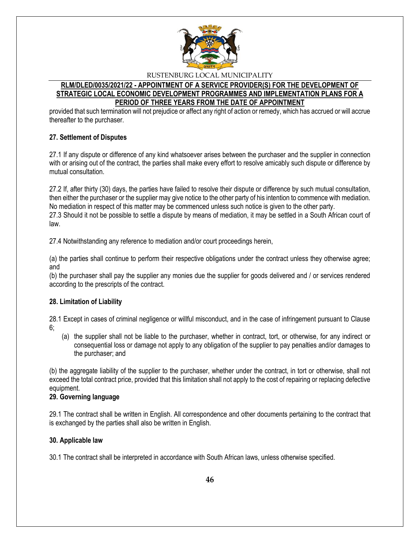

### **RLM/DLED/0035/2021/22 - APPOINTMENT OF A SERVICE PROVIDER(S) FOR THE DEVELOPMENT OF STRATEGIC LOCAL ECONOMIC DEVELOPMENT PROGRAMMES AND IMPLEMENTATION PLANS FOR A PERIOD OF THREE YEARS FROM THE DATE OF APPOINTMENT**

provided that such termination will not prejudice or affect any right of action or remedy, which has accrued or will accrue thereafter to the purchaser.

#### **27. Settlement of Disputes**

27.1 If any dispute or difference of any kind whatsoever arises between the purchaser and the supplier in connection with or arising out of the contract, the parties shall make every effort to resolve amicably such dispute or difference by mutual consultation.

27.2 If, after thirty (30) days, the parties have failed to resolve their dispute or difference by such mutual consultation, then either the purchaser or the supplier may give notice to the other party of his intention to commence with mediation. No mediation in respect of this matter may be commenced unless such notice is given to the other party. 27.3 Should it not be possible to settle a dispute by means of mediation, it may be settled in a South African court of law.

27.4 Notwithstanding any reference to mediation and/or court proceedings herein,

(a) the parties shall continue to perform their respective obligations under the contract unless they otherwise agree; and

(b) the purchaser shall pay the supplier any monies due the supplier for goods delivered and / or services rendered according to the prescripts of the contract.

#### **28. Limitation of Liability**

28.1 Except in cases of criminal negligence or willful misconduct, and in the case of infringement pursuant to Clause 6;

(a) the supplier shall not be liable to the purchaser, whether in contract, tort, or otherwise, for any indirect or consequential loss or damage not apply to any obligation of the supplier to pay penalties and/or damages to the purchaser; and

(b) the aggregate liability of the supplier to the purchaser, whether under the contract, in tort or otherwise, shall not exceed the total contract price, provided that this limitation shall not apply to the cost of repairing or replacing defective equipment.

#### **29. Governing language**

29.1 The contract shall be written in English. All correspondence and other documents pertaining to the contract that is exchanged by the parties shall also be written in English.

# **30. Applicable law**

30.1 The contract shall be interpreted in accordance with South African laws, unless otherwise specified.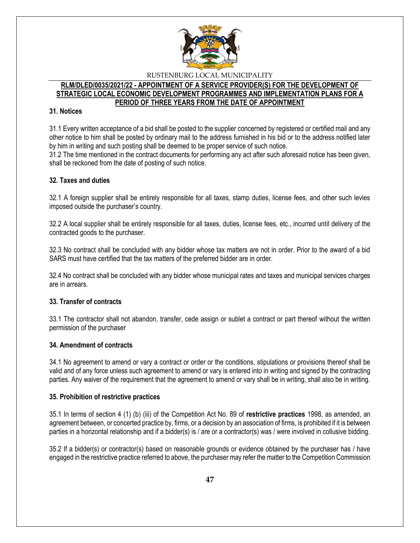

#### **RLM/DLED/0035/2021/22 - APPOINTMENT OF A SERVICE PROVIDER(S) FOR THE DEVELOPMENT OF STRATEGIC LOCAL ECONOMIC DEVELOPMENT PROGRAMMES AND IMPLEMENTATION PLANS FOR A PERIOD OF THREE YEARS FROM THE DATE OF APPOINTMENT**

#### **31. Notices**

31.1 Every written acceptance of a bid shall be posted to the supplier concerned by registered or certified mail and any other notice to him shall be posted by ordinary mail to the address furnished in his bid or to the address notified later by him in writing and such posting shall be deemed to be proper service of such notice.

31.2 The time mentioned in the contract documents for performing any act after such aforesaid notice has been given, shall be reckoned from the date of posting of such notice.

# **32. Taxes and duties**

32.1 A foreign supplier shall be entirely responsible for all taxes, stamp duties, license fees, and other such levies imposed outside the purchaser's country.

32.2 A local supplier shall be entirely responsible for all taxes, duties, license fees, etc., incurred until delivery of the contracted goods to the purchaser.

32.3 No contract shall be concluded with any bidder whose tax matters are not in order. Prior to the award of a bid SARS must have certified that the tax matters of the preferred bidder are in order.

32.4 No contract shall be concluded with any bidder whose municipal rates and taxes and municipal services charges are in arrears.

#### **33. Transfer of contracts**

33.1 The contractor shall not abandon, transfer, cede assign or sublet a contract or part thereof without the written permission of the purchaser

#### **34. Amendment of contracts**

34.1 No agreement to amend or vary a contract or order or the conditions, stipulations or provisions thereof shall be valid and of any force unless such agreement to amend or vary is entered into in writing and signed by the contracting parties. Any waiver of the requirement that the agreement to amend or vary shall be in writing, shall also be in writing.

#### **35. Prohibition of restrictive practices**

35.1 In terms of section 4 (1) (b) (iii) of the Competition Act No. 89 of **restrictive practices** 1998, as amended, an agreement between, or concerted practice by, firms, or a decision by an association of firms, is prohibited if it is between parties in a horizontal relationship and if a bidder(s) is / are or a contractor(s) was / were involved in collusive bidding.

35.2 If a bidder(s) or contractor(s) based on reasonable grounds or evidence obtained by the purchaser has / have engaged in the restrictive practice referred to above, the purchaser may refer the matter to the Competition Commission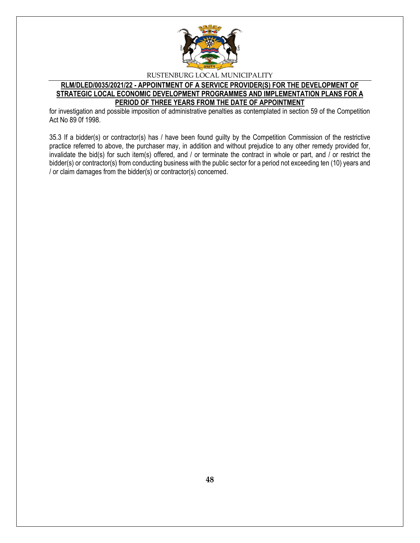

# **RLM/DLED/0035/2021/22 - APPOINTMENT OF A SERVICE PROVIDER(S) FOR THE DEVELOPMENT OF STRATEGIC LOCAL ECONOMIC DEVELOPMENT PROGRAMMES AND IMPLEMENTATION PLANS FOR A PERIOD OF THREE YEARS FROM THE DATE OF APPOINTMENT**

for investigation and possible imposition of administrative penalties as contemplated in section 59 of the Competition Act No 89 0f 1998.

35.3 If a bidder(s) or contractor(s) has / have been found guilty by the Competition Commission of the restrictive practice referred to above, the purchaser may, in addition and without prejudice to any other remedy provided for, invalidate the bid(s) for such item(s) offered, and / or terminate the contract in whole or part, and / or restrict the bidder(s) or contractor(s) from conducting business with the public sector for a period not exceeding ten (10) years and / or claim damages from the bidder(s) or contractor(s) concerned.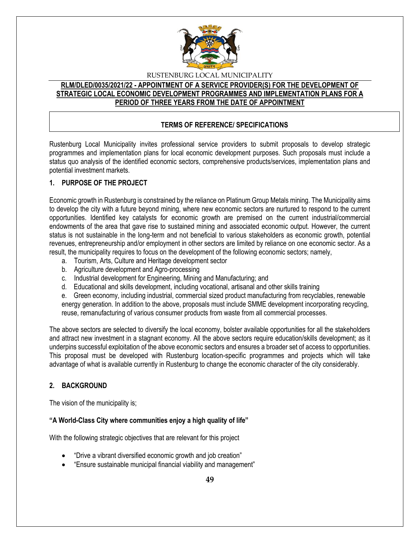

# **RLM/DLED/0035/2021/22 - APPOINTMENT OF A SERVICE PROVIDER(S) FOR THE DEVELOPMENT OF STRATEGIC LOCAL ECONOMIC DEVELOPMENT PROGRAMMES AND IMPLEMENTATION PLANS FOR A PERIOD OF THREE YEARS FROM THE DATE OF APPOINTMENT**

# **TERMS OF REFERENCE/ SPECIFICATIONS**

Rustenburg Local Municipality invites professional service providers to submit proposals to develop strategic programmes and implementation plans for local economic development purposes. Such proposals must include a status quo analysis of the identified economic sectors, comprehensive products/services, implementation plans and potential investment markets.

# **1. PURPOSE OF THE PROJECT**

Economic growth in Rustenburg is constrained by the reliance on Platinum Group Metals mining. The Municipality aims to develop the city with a future beyond mining, where new economic sectors are nurtured to respond to the current opportunities. Identified key catalysts for economic growth are premised on the current industrial/commercial endowments of the area that gave rise to sustained mining and associated economic output. However, the current status is not sustainable in the long-term and not beneficial to various stakeholders as economic growth, potential revenues, entrepreneurship and/or employment in other sectors are limited by reliance on one economic sector. As a result, the municipality requires to focus on the development of the following economic sectors; namely,

- a. Tourism, Arts, Culture and Heritage development sector
- b. Agriculture development and Agro-processing
- c. Industrial development for Engineering, Mining and Manufacturing; and
- d. Educational and skills development, including vocational, artisanal and other skills training

e. Green economy, including industrial, commercial sized product manufacturing from recyclables, renewable energy generation. In addition to the above, proposals must include SMME development incorporating recycling, reuse, remanufacturing of various consumer products from waste from all commercial processes.

The above sectors are selected to diversify the local economy, bolster available opportunities for all the stakeholders and attract new investment in a stagnant economy. All the above sectors require education/skills development; as it underpins successful exploitation of the above economic sectors and ensures a broader set of access to opportunities. This proposal must be developed with Rustenburg location-specific programmes and projects which will take advantage of what is available currently in Rustenburg to change the economic character of the city considerably.

# **2. BACKGROUND**

The vision of the municipality is;

# **"A World-Class City where communities enjoy a high quality of life"**

With the following strategic objectives that are relevant for this project

- "Drive a vibrant diversified economic growth and job creation"
- "Ensure sustainable municipal financial viability and management"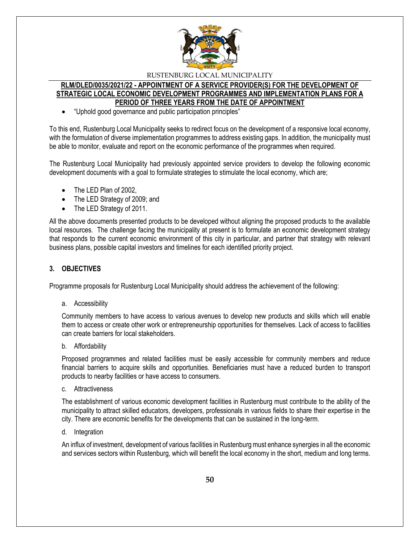

#### **RLM/DLED/0035/2021/22 - APPOINTMENT OF A SERVICE PROVIDER(S) FOR THE DEVELOPMENT OF STRATEGIC LOCAL ECONOMIC DEVELOPMENT PROGRAMMES AND IMPLEMENTATION PLANS FOR A PERIOD OF THREE YEARS FROM THE DATE OF APPOINTMENT**

"Uphold good governance and public participation principles"

To this end, Rustenburg Local Municipality seeks to redirect focus on the development of a responsive local economy, with the formulation of diverse implementation programmes to address existing gaps. In addition, the municipality must be able to monitor, evaluate and report on the economic performance of the programmes when required.

The Rustenburg Local Municipality had previously appointed service providers to develop the following economic development documents with a goal to formulate strategies to stimulate the local economy, which are;

- The LED Plan of 2002,
- The LED Strategy of 2009; and
- The LED Strategy of 2011.

All the above documents presented products to be developed without aligning the proposed products to the available local resources. The challenge facing the municipality at present is to formulate an economic development strategy that responds to the current economic environment of this city in particular, and partner that strategy with relevant business plans, possible capital investors and timelines for each identified priority project.

#### **3. OBJECTIVES**

Programme proposals for Rustenburg Local Municipality should address the achievement of the following:

a. Accessibility

Community members to have access to various avenues to develop new products and skills which will enable them to access or create other work or entrepreneurship opportunities for themselves. Lack of access to facilities can create barriers for local stakeholders.

b. Affordability

Proposed programmes and related facilities must be easily accessible for community members and reduce financial barriers to acquire skills and opportunities. Beneficiaries must have a reduced burden to transport products to nearby facilities or have access to consumers.

c. Attractiveness

The establishment of various economic development facilities in Rustenburg must contribute to the ability of the municipality to attract skilled educators, developers, professionals in various fields to share their expertise in the city. There are economic benefits for the developments that can be sustained in the long-term.

d. Integration

An influx of investment, development of various facilities in Rustenburg must enhance synergies in all the economic and services sectors within Rustenburg, which will benefit the local economy in the short, medium and long terms.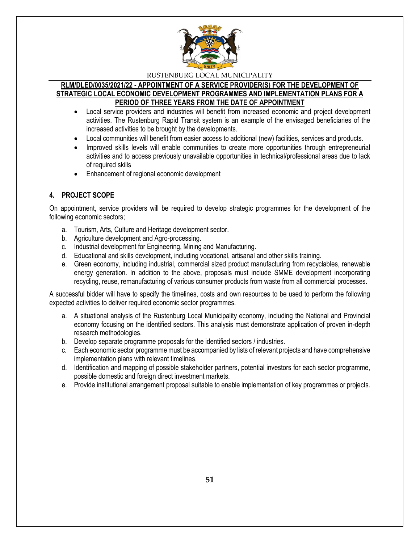

#### **RLM/DLED/0035/2021/22 - APPOINTMENT OF A SERVICE PROVIDER(S) FOR THE DEVELOPMENT OF STRATEGIC LOCAL ECONOMIC DEVELOPMENT PROGRAMMES AND IMPLEMENTATION PLANS FOR A PERIOD OF THREE YEARS FROM THE DATE OF APPOINTMENT**

- Local service providers and industries will benefit from increased economic and project development activities. The Rustenburg Rapid Transit system is an example of the envisaged beneficiaries of the increased activities to be brought by the developments.
- Local communities will benefit from easier access to additional (new) facilities, services and products.
- Improved skills levels will enable communities to create more opportunities through entrepreneurial activities and to access previously unavailable opportunities in technical/professional areas due to lack of required skills
- Enhancement of regional economic development

# **4. PROJECT SCOPE**

On appointment, service providers will be required to develop strategic programmes for the development of the following economic sectors;

- a. Tourism, Arts, Culture and Heritage development sector.
- b. Agriculture development and Agro-processing.
- c. Industrial development for Engineering, Mining and Manufacturing.
- d. Educational and skills development, including vocational, artisanal and other skills training.
- e. Green economy, including industrial, commercial sized product manufacturing from recyclables, renewable energy generation. In addition to the above, proposals must include SMME development incorporating recycling, reuse, remanufacturing of various consumer products from waste from all commercial processes.

A successful bidder will have to specify the timelines, costs and own resources to be used to perform the following expected activities to deliver required economic sector programmes.

- a. A situational analysis of the Rustenburg Local Municipality economy, including the National and Provincial economy focusing on the identified sectors. This analysis must demonstrate application of proven in-depth research methodologies.
- b. Develop separate programme proposals for the identified sectors / industries.
- c. Each economic sector programme must be accompanied by lists of relevant projects and have comprehensive implementation plans with relevant timelines.
- d. Identification and mapping of possible stakeholder partners, potential investors for each sector programme, possible domestic and foreign direct investment markets.
- e. Provide institutional arrangement proposal suitable to enable implementation of key programmes or projects.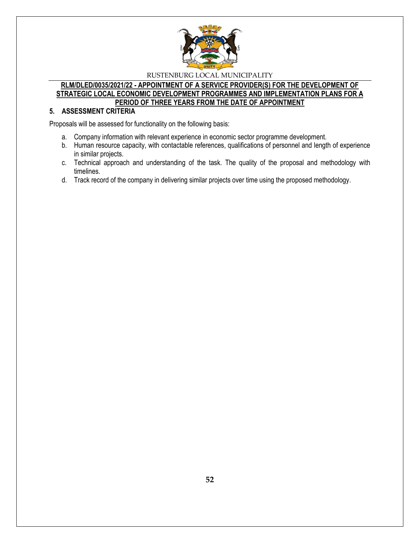

#### **RLM/DLED/0035/2021/22 - APPOINTMENT OF A SERVICE PROVIDER(S) FOR THE DEVELOPMENT OF STRATEGIC LOCAL ECONOMIC DEVELOPMENT PROGRAMMES AND IMPLEMENTATION PLANS FOR A PERIOD OF THREE YEARS FROM THE DATE OF APPOINTMENT**

# **5. ASSESSMENT CRITERIA**

Proposals will be assessed for functionality on the following basis:

- a. Company information with relevant experience in economic sector programme development.
- b. Human resource capacity, with contactable references, qualifications of personnel and length of experience in similar projects.
- c. Technical approach and understanding of the task. The quality of the proposal and methodology with timelines.
- d. Track record of the company in delivering similar projects over time using the proposed methodology.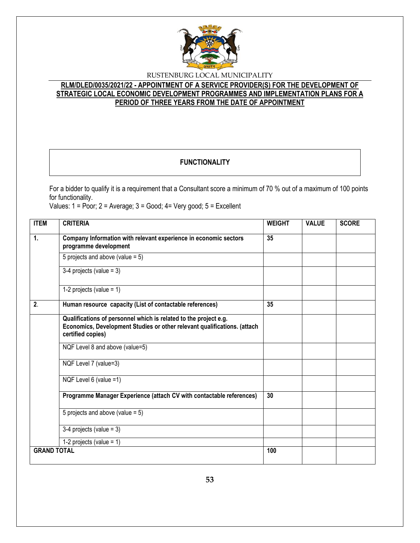

# **RLM/DLED/0035/2021/22 - APPOINTMENT OF A SERVICE PROVIDER(S) FOR THE DEVELOPMENT OF STRATEGIC LOCAL ECONOMIC DEVELOPMENT PROGRAMMES AND IMPLEMENTATION PLANS FOR A PERIOD OF THREE YEARS FROM THE DATE OF APPOINTMENT**

# **FUNCTIONALITY**

For a bidder to qualify it is a requirement that a Consultant score a minimum of 70 % out of a maximum of 100 points for functionality.

Values: 1 = Poor; 2 = Average; 3 = Good; 4= Very good; 5 = Excellent

| <b>ITEM</b>        | <b>CRITERIA</b>                                                                                                                                                   | <b>WEIGHT</b> | <b>VALUE</b> | <b>SCORE</b> |
|--------------------|-------------------------------------------------------------------------------------------------------------------------------------------------------------------|---------------|--------------|--------------|
| 1.                 | Company Information with relevant experience in economic sectors<br>programme development                                                                         | 35            |              |              |
|                    | 5 projects and above (value = $5$ )                                                                                                                               |               |              |              |
|                    | $3-4$ projects (value = 3)                                                                                                                                        |               |              |              |
|                    | 1-2 projects (value = $1$ )                                                                                                                                       |               |              |              |
| 2.                 | Human resource capacity (List of contactable references)                                                                                                          | 35            |              |              |
|                    | Qualifications of personnel which is related to the project e.g.<br>Economics, Development Studies or other relevant qualifications. (attach<br>certified copies) |               |              |              |
|                    | NQF Level 8 and above (value=5)                                                                                                                                   |               |              |              |
|                    | NQF Level 7 (value=3)                                                                                                                                             |               |              |              |
|                    | NQF Level 6 (value =1)                                                                                                                                            |               |              |              |
|                    | Programme Manager Experience (attach CV with contactable references)                                                                                              | 30            |              |              |
|                    | 5 projects and above (value = $5$ )                                                                                                                               |               |              |              |
|                    | $3-4$ projects (value = 3)                                                                                                                                        |               |              |              |
|                    | 1-2 projects (value = $1$ )                                                                                                                                       |               |              |              |
| <b>GRAND TOTAL</b> |                                                                                                                                                                   | 100           |              |              |